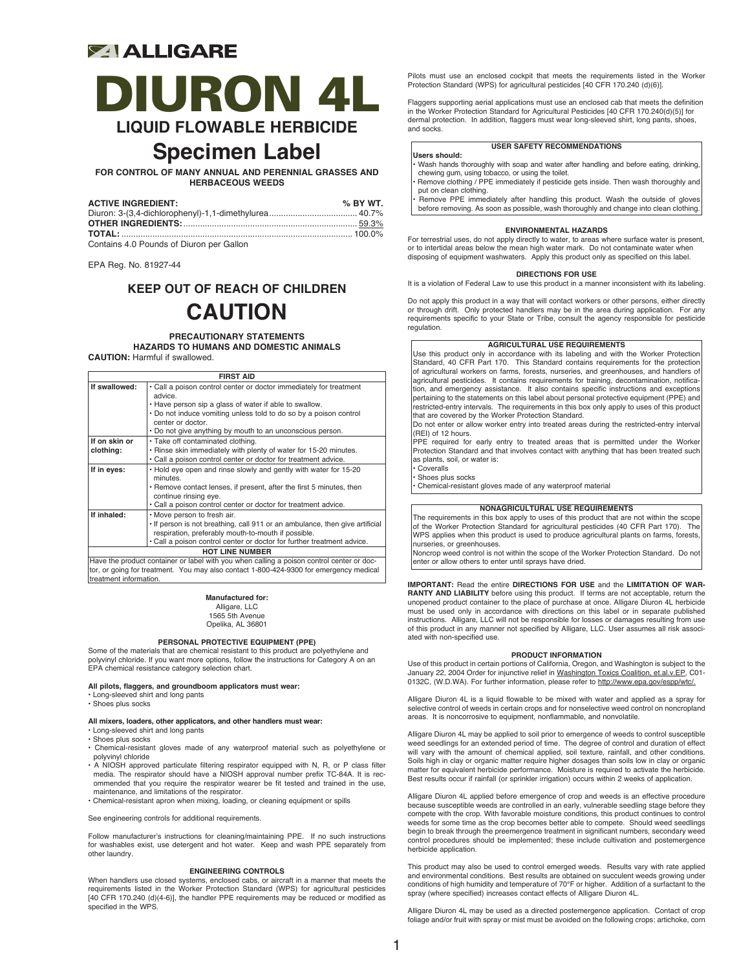## **ZIALLIGARE**

## DIURON 4L **LIQUID FLOWABLE HERBICIDE**

## **Specimen Label**

**FOR CONTROL OF MANY ANNUAL AND PERENNIAL GRASSES AND HERBACEOUS WEEDS**

| <b>ACTIVE INGREDIENT:</b> | $%$ BY WT. |
|---------------------------|------------|
|                           |            |
|                           |            |
|                           |            |
|                           |            |

Contains 4.0 Pounds of Diuron per Gallon

EPA Reg. No. 81927-44

## **KEEP OUT OF REACH OF CHILDREN CAUTION**

**PRECAUTIONARY STATEMENTS HAZARDS TO HUMANS AND DOMESTIC ANIMALS CAUTION:** Harmful if swallowed.

| <b>FIRST AID</b>       |                                                                                           |  |  |  |  |
|------------------------|-------------------------------------------------------------------------------------------|--|--|--|--|
| If swallowed:          | · Call a poison control center or doctor immediately for treatment<br>advice.             |  |  |  |  |
|                        | . Have person sip a glass of water if able to swallow.                                    |  |  |  |  |
|                        | . Do not induce vomiting unless told to do so by a poison control<br>center or doctor.    |  |  |  |  |
|                        | . Do not give anything by mouth to an unconscious person.                                 |  |  |  |  |
| If on skin or          | · Take off contaminated clothing.                                                         |  |  |  |  |
| clothing:              | . Rinse skin immediately with plenty of water for 15-20 minutes.                          |  |  |  |  |
|                        | . Call a poison control center or doctor for treatment advice.                            |  |  |  |  |
| If in eyes:            | . Hold eye open and rinse slowly and gently with water for 15-20<br>minutes.              |  |  |  |  |
|                        | • Remove contact lenses, if present, after the first 5 minutes, then                      |  |  |  |  |
|                        | continue rinsing eye.                                                                     |  |  |  |  |
|                        | . Call a poison control center or doctor for treatment advice.                            |  |  |  |  |
| If inhaled:            | . Move person to fresh air.                                                               |  |  |  |  |
|                        | . If person is not breathing, call 911 or an ambulance, then give artificial              |  |  |  |  |
|                        | respiration, preferably mouth-to-mouth if possible.                                       |  |  |  |  |
|                        | . Call a poison control center or doctor for further treatment advice.                    |  |  |  |  |
| <b>HOT LINE NUMBER</b> |                                                                                           |  |  |  |  |
|                        | Have the product container or label with you when calling a poison control center or doc- |  |  |  |  |

Have the product container or label with you when calling a poison control center or doc-tor, or going for treatment. You may also contact 1-800-424-9300 for emergency medical treatment information.

#### **Manufactured for:**

Alligare, LLC 1565 5th Avenue

Opelika, AL 36801

### **PERSONAL PROTECTIVE EQUIPMENT (PPE)**

Some of the materials that are chemical resistant to this product are polyethylene and polyvinyl chloride. If you want more options, follow the instructions for Category A on an EPA chemical resistance category selection chart.

**All pilots, flaggers, and groundboom applicators must wear:**

• Long-sleeved shirt and long pants

• Shoes plus socks

## **All mixers, loaders, other applicators, and other handlers must wear:**

- Long-sleeved shirt and long pants
- Shoes plus socks
- Chemical-resistant gloves made of any waterproof material such as polyethylene or polyvinyl chloride
- A NIOSH approved particulate filtering respirator equipped with N, R, or P class filter media. The respirator should have a NIOSH approval number prefix TC-84A. It is recommended that you require the respirator wearer be fit tested and trained in the use, maintenance, and limitations of the respirator.
- Chemical-resistant apron when mixing, loading, or cleaning equipment or spills

See engineering controls for additional requirements.

Follow manufacturer's instructions for cleaning/maintaining PPE. If no such instructions for washables exist, use detergent and hot water. Keep and wash PPE separately from other laundry.

#### **ENGINEERING CONTROLS**

When handlers use closed systems, enclosed cabs, or aircraft in a manner that meets the requirements listed in the Worker Protection Standard (WPS) for agricultural pesticides [40 CFR 170.240 (d)(4-6)], the handler PPE requirements may be reduced or modified as specified in the WPS.

Pilots must use an enclosed cockpit that meets the requirements listed in the Worker Protection Standard (WPS) for agricultural pesticides [40 CFR 170.240 (d)(6)].

Flaggers supporting aerial applications must use an enclosed cab that meets the definition in the Worker Protection Standard for Agricultural Pesticides [40 CFR 170.240(d)(5)] for dermal protection. In addition, flaggers must wear long-sleeved shirt, long pants, shoes, and socks.

## **USER SAFETY RECOMMENDATIONS**

- **Users should:**
- Wash hands thoroughly with soap and water after handling and before eating, drinking,
- chewing gum, using tobacco, or using the toilet. Remove clothing / PPE immediately if pesticide gets inside. Then wash thoroughly and put on clean clothing.
- Remove PPE immediately after handling this product. Wash the outside of gloves before removing. As soon as possible, wash thoroughly and change into clean clothing.

#### **ENVIRONMENTAL HAZARDS**

For terrestrial uses, do not apply directly to water, to areas where surface water is present, or to intertidal areas below the mean high water mark. Do not contaminate water when disposing of equipment washwaters. Apply this product only as specified on this label.

### **DIRECTIONS FOR USE**

It is a violation of Federal Law to use this product in a manner inconsistent with its labeling.

Do not apply this product in a way that will contact workers or other persons, either directly or through drift. Only protected handlers may be in the area during application. For any requirements specific to your State or Tribe, consult the agency responsible for pesticide regulation.

#### **AGRICULTURAL USE REQUIREMENTS**

Use this product only in accordance with its labeling and with the Worker Protection Standard, 40 CFR Part 170. This Standard contains requirements for the protection of agricultural workers on farms, forests, nurseries, and greenhouses, and handlers of agricultural pesticides. It contains requirements for training, decontamination, notification, and emergency assistance. It also contains specific instructions and exceptions pertaining to the statements on this label about personal protective equipment (PPE) and restricted-entry intervals. The requirements in this box only apply to uses of this product that are covered by the Worker Protection Standard.

Do not enter or allow worker entry into treated areas during the restricted-entry interval (REI) of 12 hours.

PPE required for early entry to treated areas that is permitted under the Worker Protection Standard and that involves contact with anything that has been treated such as plants, soil, or water is:

• Coveralls Shoes plus socks

• Chemical-resistant gloves made of any waterproof material

#### **NONAGRICULTURAL USE REQUIREMENTS**

The requirements in this box apply to uses of this product that are not within the scope of the Worker Protection Standard for agricultural pesticides (40 CFR Part 170). The WPS applies when this product is used to produce agricultural plants on farms, forests, nurseries, or greenhouses.

Noncrop weed control is not within the scope of the Worker Protection Standard. Do not enter or allow others to enter until sprays have dried.

**IMPORTANT:** Read the entire **DIRECTIONS FOR USE** and the **LIMITATION OF WAR-RANTY AND LIABILITY** before using this product. If terms are not acceptable, return the unopened product container to the place of purchase at once. Alligare Diuron 4L herbicide must be used only in accordance with directions on this label or in separate published instructions. Alligare, LLC will not be responsible for losses or damages resulting from use of this product in any manner not specified by Alligare, LLC. User assumes all risk associated with non-specified use.

#### **PRODUCT INFORMATION**

Use of this product in certain portions of California, Oregon, and Washington is subject to the January 22, 2004 Order for injunctive relief in Washington Toxics Coalition, et.al.v.EP, C01- 0132C, (W.D.WA). For further information, please refer to http://www.epa.gov/espp/wtc/.

Alligare Diuron 4L is a liquid flowable to be mixed with water and applied as a spray for selective control of weeds in certain crops and for nonselective weed control on noncropland areas. It is noncorrosive to equipment, nonflammable, and nonvolatile.

Alligare Diuron 4L may be applied to soil prior to emergence of weeds to control susceptible weed seedlings for an extended period of time. The degree of control and duration of effect will vary with the amount of chemical applied, soil texture, rainfall, and other conditions.<br>Soils high in clay or organic matter require higher dosages than soils low in clay or organic<br>matter for equivalent herbicide per Best results occur if rainfall (or sprinkler irrigation) occurs within 2 weeks of application.

Alligare Diuron 4L applied before emergence of crop and weeds is an effective procedure because susceptible weeds are controlled in an early, vulnerable seedling stage before they compete with the crop. With favorable moisture conditions, this product continues to control weeds for some time as the crop becomes better able to compete. Should weed seedlings begin to break through the preemergence treatment in significant numbers, secondary weed control procedures should be implemented; these include cultivation and postemergence herbicide application.

This product may also be used to control emerged weeds. Results vary with rate applied and environmental conditions. Best results are obtained on succulent weeds growing under conditions of high humidity and temperature of 70°F or higher. Addition of a surfactant to the spray (where specified) increases contact effects of Alligare Diuron 4L.

Alligare Diuron 4L may be used as a directed postemergence application. Contact of crop foliage and/or fruit with spray or mist must be avoided on the following crops: artichoke, corn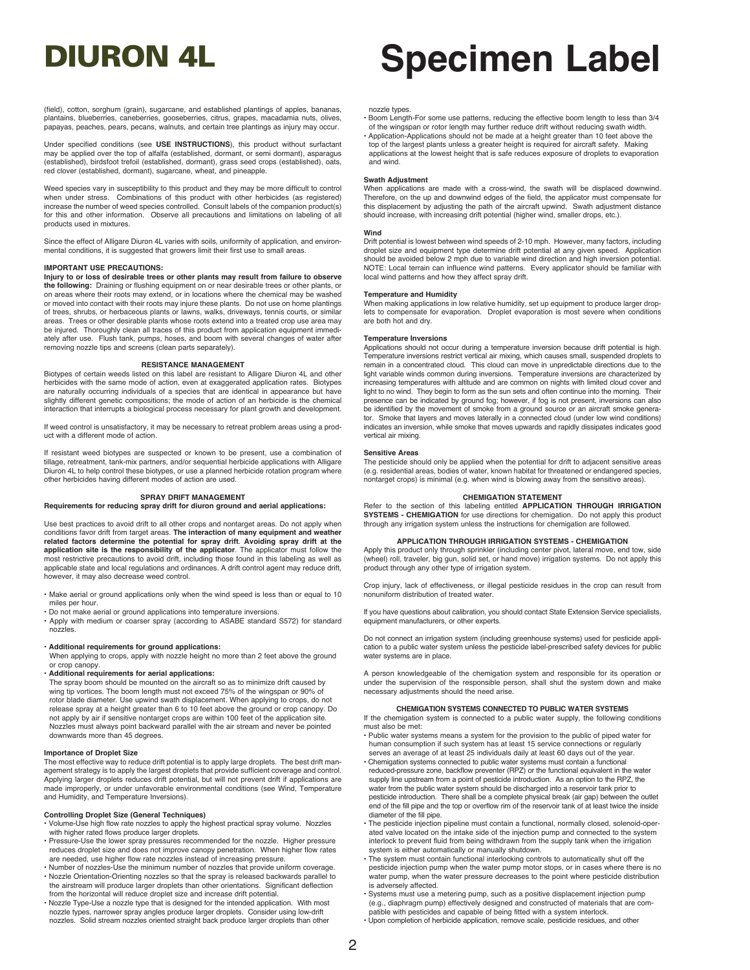#### nozzle types.

- Boom Length-For some use patterns, reducing the effective boom length to less than 3/4 of the wingspan or rotor length may further reduce drift without reducing swath width. • Application-Applications should not be made at a height greater than 10 feet above the
- top of the largest plants unless a greater height is required for aircraft safety. Making applications at the lowest height that is safe reduces exposure of droplets to evaporation and wind.

#### **Swath Adjustment**

When applications are made with a cross-wind, the swath will be displaced downwind. Therefore, on the up and downwind edges of the field, the applicator must compensate for this displacement by adjusting the path of the aircraft upwind. Swath adjustment distance should increase, with increasing drift potential (higher wind, smaller drops, etc.).

**Wind**<br>Drift potential is lowest between wind speeds of 2-10 mph. However, many factors, including droplet size and equipment type determine drift potential at any given speed. Application should be avoided below 2 mph due to variable wind direction and high inversion potential. NOTE: Local terrain can influence wind patterns. Every applicator should be familiar with local wind patterns and how they affect spray drift.

#### **Temperature and Humidity**

When making applications in low relative humidity, set up equipment to produce larger droplets to compensate for evaporation. Droplet evaporation is most severe when conditions are both hot and dry.

#### **Temperature Inversions**

Applications should not occur during a temperature inversion because drift potential is high. Temperature inversions restrict vertical air mixing, which causes small, suspended droplets to remain in a concentrated cloud. This cloud can move in unpredictable directions due to the light variable winds common during inversions. Temperature inversions are characterized by increasing temperatures with altitude and are common on nights with limited cloud cover and light to no wind. They begin to form as the sun sets and often continue into the morning. Their presence can be indicated by ground fog; however, if fog is not present, inversions can also be identified by the movement of smoke from a ground source or an aircraft smoke generator. Smoke that layers and moves laterally in a connected cloud (under low wind conditions) indicates an inversion, while smoke that moves upwards and rapidly dissipates indicates good vertical air mixing.

#### **Sensitive Areas**

The pesticide should only be applied when the potential for drift to adjacent sensitive areas (e.g. residential areas, bodies of water, known habitat for threatened or endangered species, nontarget crops) is minimal (e.g. when wind is blowing away from the sensitive areas).

#### **CHEMIGATION STATEMENT**

Refer to the section of this labeling entitled **APPLICATION THROUGH IRRIGATION SYSTEMS - CHEMIGATION** for use directions for chemigation. Do not apply this product through any irrigation system unless the instructions for chemigation are followed.

#### **APPLICATION THROUGH IRRIGATION SYSTEMS - CHEMIGATION**

Apply this product only through sprinkler (including center pivot, lateral move, end tow, side (wheel) roll, traveler, big gun, solid set, or hand move) irrigation systems. Do not apply this product through any other type of irrigation system.

Crop injury, lack of effectiveness, or illegal pesticide residues in the crop can result from nonuniform distribution of treated water.

If you have questions about calibration, you should contact State Extension Service specialists, equipment manufacturers, or other experts.

Do not connect an irrigation system (including greenhouse systems) used for pesticide appli-cation to a public water system unless the pesticide label-prescribed safety devices for public water systems are in place.

A person knowledgeable of the chemigation system and responsible for its operation or under the supervision of the responsible person, shall shut the system down and make necessary adjustments should the need arise.

#### **CHEMIGATION SYSTEMS CONNECTED TO PUBLIC WATER SYSTEMS**

If the chemigation system is connected to a public water supply, the following conditions must also be met:

- Public water systems means a system for the provision to the public of piped water for human consumption if such system has at least 15 service connections or regularly serves an average of at least 25 individuals daily at least 60 days out of the year.
- Chemigation systems connected to public water systems must contain a functional reduced-pressure zone, backflow preventer (RPZ) or the functional equivalent in the water supply line upstream from a point of pesticide introduction. As an option to the RPZ, the water from the public water system should be discharged into a reservoir tank prior to
- pesticide introduction. There shall be a complete physical break (air gap) between the outlet end of the fill pipe and the top or overflow rim of the reservoir tank of at least twice the inside diameter of the fill pipe.
- The pesticide injection pipeline must contain a functional, normally closed, solenoid-operated valve located on the intake side of the injection pump and connected to the system interlock to prevent fluid from being withdrawn from the supply tank when the irrigation system is either automatically or manually shutdown.
- The system must contain functional interlocking controls to automatically shut off the pesticide injection pump when the water pump motor stops, or in cases where there is no water pump, when the water pressure decreases to the point where pesticide distribution is adversely affected.
- Systems must use a metering pump, such as a positive displacement injection pump<br>(e.g., diaphragm pump) effectively designed and constructed of materials that are com-<br>patible with pesticides and capable of being fitted
- Upon completion of herbicide application, remove scale, pesticide residues, and other

(field), cotton, sorghum (grain), sugarcane, and established plantings of apples, bananas, plantains, blueberries, caneberries, gooseberries, citrus, grapes, macadamia nuts, olives,<br>papayas, peaches, pears, pecans, walnuts, and certain tree plantings as injury may occur.

Under specified conditions (see **USE INSTRUCTIONS**), this product without surfactant may be applied over the top of alfalfa (established, dormant, or semi dormant), asparagus (established), birdsfoot trefoil (established, dormant), grass seed crops (established), oats, red clover (established, dormant), sugarcane, wheat, and pineapple.

Weed species vary in susceptibility to this product and they may be more difficult to control when under stress. Combinations of this product with other herbicides (as registered) increase the number of weed species controlled. Consult labels of the companion product(s) for this and other information. Observe all precautions and limitations on labeling of all products used in mixtures.

Since the effect of Alligare Diuron 4L varies with soils, uniformity of application, and environ-mental conditions, it is suggested that growers limit their first use to small areas.

#### **IMPORTANT USE PRECAUTIONS:**

**Injury to or loss of desirable trees or other plants may result from failure to observe the following:** Draining or flushing equipment on or near desirable trees or other plants, or on areas where their roots may extend, or in locations where the chemical may be washed or moved into contact with their roots may injure these plants. Do not use on home plantings of trees, shrubs, or herbaceous plants or lawns, walks, driveways, tennis courts, or similar areas. Trees or other desirable plants whose roots extend into a treated crop use area may be injured. Thoroughly clean all traces of this product from application equipment immediately after use. Flush tank, pumps, hoses, and boom with several changes of water after removing nozzle tips and screens (clean parts separately).

#### **RESISTANCE MANAGEMENT**

Biotypes of certain weeds listed on this label are resistant to Alligare Diuron 4L and other herbicides with the same mode of action, even at exaggerated application rates. Biotypes are naturally occurring individuals of a species that are identical in appearance but have slightly different genetic compositions; the mode of action of an herbicide is the chemical interaction that interrupts a biological process necessary for plant growth and development.

If weed control is unsatisfactory, it may be necessary to retreat problem areas using a product with a different mode of action.

If resistant weed biotypes are suspected or known to be present, use a combination of tillage, retreatment, tank-mix partners, and/or sequential herbicide applications with Alligare Diuron 4L to help control these biotypes, or use a planned herbicide rotation program where other herbicides having different modes of action are used.

#### **SPRAY DRIFT MANAGEMENT**

**Requirements for reducing spray drift for diuron ground and aerial applications:**

Use best practices to avoid drift to all other crops and nontarget areas. Do not apply when conditions favor drift from target areas. **The interaction of many equipment and weather related factors determine the potential for spray drift**. **Avoiding spray drift at the application site is the responsibility of the applicator**. The applicator must follow the most restrictive precautions to avoid drift, including those found in this labeling as well as applicable state and local regulations and ordinances. A drift control agent may reduce drift, however, it may also decrease weed control.

- Make aerial or ground applications only when the wind speed is less than or equal to 10 miles per hour.
- Do not make aerial or ground applications into temperature inversions.
- Apply with medium or coarser spray (according to ASABE standard S572) for standard nozzles.

#### • **Additional requirements for ground applications:**

When applying to crops, apply with nozzle height no more than 2 feet above the ground or crop canopy.

#### • **Additional requirements for aerial applications:**

The spray boom should be mounted on the aircraft so as to minimize drift caused by wing tip vortices. The boom length must not exceed 75% of the wingspan or 90% of rotor blade diameter. Use upwind swath displacement. When applying to crops, do not release spray at a height greater than 6 to 10 feet above the ground or crop canopy. Do not apply by air if sensitive nontarget crops are within 100 feet of the application site. Nozzles must always point backward parallel with the air stream and never be pointed downwards more than 45 degrees.

#### **Importance of Droplet Size**

The most effective way to reduce drift potential is to apply large droplets. The best drift management strategy is to apply the largest droplets that provide sufficient coverage and control. Applying larger droplets reduces drift potential, but will not prevent drift if applications are made improperly, or under unfavorable environmental conditions (see Wind, Temperature and Humidity, and Temperature Inversions).

#### **Controlling Droplet Size (General Techniques)**

- Volume-Use high flow rate nozzles to apply the highest practical spray volume. Nozzles with higher rated flows produce larger droplets.
- Pressure-Use the lower spray pressures recommended for the nozzle. Higher pressure reduces droplet size and does not improve canopy penetration. When higher flow rates are needed, use higher flow rate nozzles instead of increasing pressure. • Number of nozzles-Use the minimum number of nozzles that provide uniform coverage.
- Nozzle Orientation-Orienting nozzles so that the spray is released backwards parallel to the airstream will produce larger droplets than other orientations. Significant deflection from the horizontal will reduce droplet size and increase drift potential.
- Nozzle Type-Use a nozzle type that is designed for the intended application. With most nozzle types, narrower spray angles produce larger droplets. Consider using low-drift nozzles. Solid stream nozzles oriented straight back produce larger droplets than other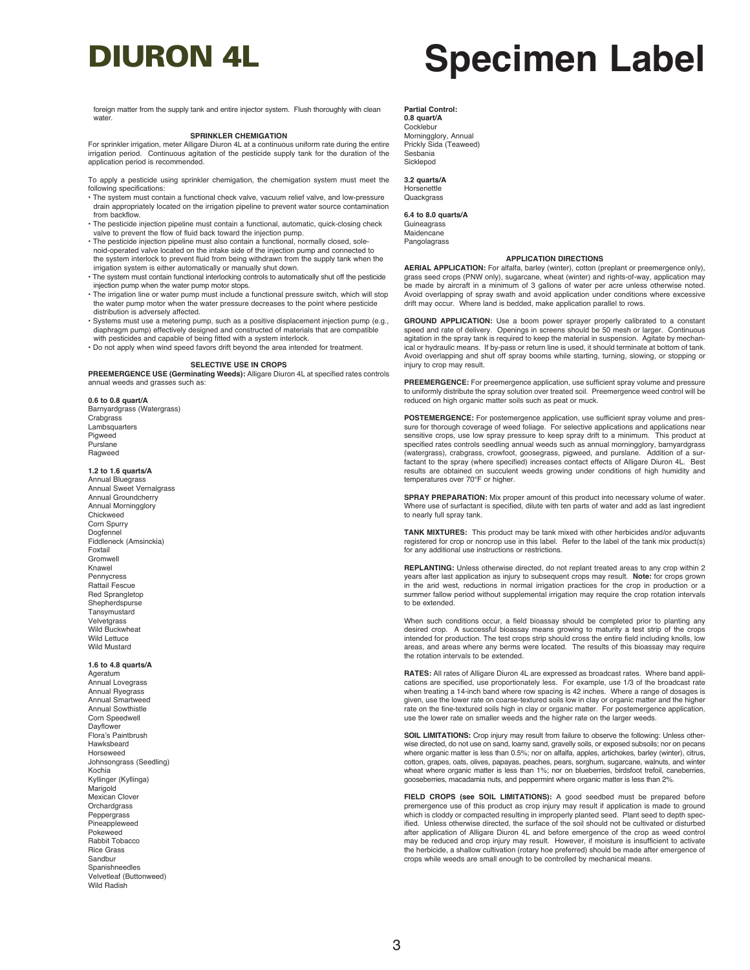foreign matter from the supply tank and entire injector system. Flush thoroughly with clean water

#### **SPRINKLER CHEMIGATION**

For sprinkler irrigation, meter Alligare Diuron 4L at a continuous uniform rate during the entire irrigation period. Continuous agitation of the pesticide supply tank for the duration of the application period is recommended.

To apply a pesticide using sprinkler chemigation, the chemigation system must meet the following specifications:

- The system must contain a functional check valve, vacuum relief valve, and low-pressure drain appropriately located on the irrigation pipeline to prevent water source contamination from backflow.
- The pesticide injection pipeline must contain a functional, automatic, quick-closing check valve to prevent the flow of fluid back toward the injection pump.
- The pesticide injection pipeline must also contain a functional, normally closed, solenoid-operated valve located on the intake side of the injection pump and connected to the system interlock to prevent fluid from being withdrawn from the supply tank when the irrigation system is either automatically or manually shut down.
- The system must contain functional interlocking controls to automatically shut off the pesticide injection pump when the water pump motor stops.
- The irrigation line or water pump must include a functional pressure switch, which will stop the water pump motor when the water pressure decreases to the point where pesticide
- distribution is adversely affected. Systems must use a metering pump, such as a positive displacement injection pump (e.g., diaphragm pump) effectively designed and constructed of materials that are compatible with pesticides and capable of being fitted with a system interlock.
- Do not apply when wind speed favors drift beyond the area intended for treatment.

#### **SELECTIVE USE IN CROPS**

**PREEMERGENCE USE (Germinating Weeds):** Alligare Diuron 4L at specified rates controls annual weeds and grasses such as:

**0.6 to 0.8 quart/A** Barnyardgrass (Watergrass) **Crabgrass Lambsquarters** Pigweed Purslane Ragweed

#### **1.2 to 1.6 quarts/A**

Annual Bluegrass Annual Sweet Vernalgrass Annual Groundcherry Annual Morningglory Chickweed Corn Spurry Dogfennel Fiddleneck (Amsinckia) Foxtail Gromwell Knawel Pennycress Rattail Fescue Red Sprangletop **Shepherdspurse** Tansymustard Velvetgrass Wild Buckwheat Wild Lettuce Wild Mustard

**1.6 to 4.8 quarts/A**

Ageratum Annual Lovegrass Annual Ryegrass Annual Smartweed Annual Sowthistle Corn Speedwell Dayflower Flora's Paintbrush Hawksbeard Horseweed Johnsongrass (Seedling) Kochia Kyllinger (Kyllinga) Marigold Mexican Clover **Orchardgrass** Peppergrass Pineappleweed Pokeweed Rabbit Tobacco Rice Grass Sandbur Spanishneedles Velvetleaf (Buttonweed) Wild Radish

**Partial Control: 0.8 quart/A** Cocklebur Morningglory, Annual Prickly Sida (Teaweed) Sesbania Sicklepod

**3.2 quarts/A** Horsenettle **Quackgrass** 

**6.4 to 8.0 quarts/A** Guineagrass Maidencane Pangolagrass

#### **APPLICATION DIRECTIONS**

**AERIAL APPLICATION:** For alfalfa, barley (winter), cotton (preplant or preemergence only), grass seed crops (PNW only), sugarcane, wheat (winter) and rights-of-way, application may be made by aircraft in a minimum of 3 gallons of water per acre unless otherwise noted. Avoid overlapping of spray swath and avoid application under conditions where excessive drift may occur. Where land is bedded, make application parallel to rows.

**GROUND APPLICATION:** Use a boom power sprayer properly calibrated to a constant speed and rate of delivery. Openings in screens should be 50 mesh or larger. Continuous agitation in the spray tank is required to keep the material in suspension. Agitate by mechanical or hydraulic means. If by-pass or return line is used, it should terminate at bottom of tank. Avoid overlapping and shut off spray booms while starting, turning, slowing, or stopping or injury to crop may result.

**PREEMERGENCE:** For preemergence application, use sufficient spray volume and pressure to uniformly distribute the spray solution over treated soil. Preemergence weed control will be reduced on high organic matter soils such as peat or muck.

**POSTEMERGENCE:** For postemergence application, use sufficient spray volume and pres-sure for thorough coverage of weed foliage. For selective applications and applications near sensitive crops, use low spray pressure to keep spray drift to a minimum. This product at specified rates controls seedling annual weeds such as annual morningglory, barnyardgrass (watergrass), crabgrass, crowfoot, goosegrass, pigweed, and purslane. Addition of a surfactant to the spray (where specified) increases contact effects of Alligare Diuron 4L. Best results are obtained on succulent weeds growing under conditions of high humidity and temperatures over 70°F or higher.

**SPRAY PREPARATION:** Mix proper amount of this product into necessary volume of water. Where use of surfactant is specified, dilute with ten parts of water and add as last ingredient to nearly full spray tank.

**TANK MIXTURES:** This product may be tank mixed with other herbicides and/or adjuvants registered for crop or noncrop use in this label. Refer to the label of the tank mix product(s) for any additional use instructions or restrictions.

**REPLANTING:** Unless otherwise directed, do not replant treated areas to any crop within 2 years after last application as injury to subsequent crops may result. **Note:** for crops grown in the arid west, reductions in normal irrigation practices for the crop in production or a summer fallow period without supplemental irrigation may require the crop rotation intervals to be extended.

When such conditions occur, a field bioassay should be completed prior to planting any desired crop. A successful bioassay means growing to maturity a test strip of the crops intended for production. The test crops strip should cross the entire field including knolls, low areas, and areas where any berms were located. The results of this bioassay may require the rotation intervals to be extended.

**RATES:** All rates of Alligare Diuron 4L are expressed as broadcast rates. Where band applications are specified, use proportionately less. For example, use 1/3 of the broadcast rate when treating a 14-inch band where row spacing is 42 inches. Where a range of dosages is given, use the lower rate on coarse-textured soils low in clay or organic matter and the higher rate on the fine-textured soils high in clay or organic matter. For postemergence application, use the lower rate on smaller weeds and the higher rate on the larger weeds.

**SOIL LIMITATIONS:** Crop injury may result from failure to observe the following: Unless otherwise directed, do not use on sand, loamy sand, gravelly soils, or exposed subsoils; nor on pecans where organic matter is less than 0.5%; nor on alfalfa, apples, artichokes, barley (winter), citrus, cotton, grapes, oats, olives, papayas, peaches, pears, sorghum, sugarcane, walnuts, and winter wheat where organic matter is less than 1%; nor on blueberries, birdsfoot trefoil, caneberries, gooseberries, macadamia nuts, and peppermint where organic matter is less than 2%.

**FIELD CROPS (see SOIL LIMITATIONS):** A good seedbed must be prepared before premergence use of this product as crop injury may result if application is made to ground which is cloddy or compacted resulting in improperly planted seed. Plant seed to depth specified. Unless otherwise directed, the surface of the soil should not be cultivated or disturbed after application of Alligare Diuron 4L and before emergence of the crop as weed control may be reduced and crop injury may result. However, if moisture is insufficient to activate the herbicide, a shallow cultivation (rotary hoe preferred) should be made after emergence of crops while weeds are small enough to be controlled by mechanical means.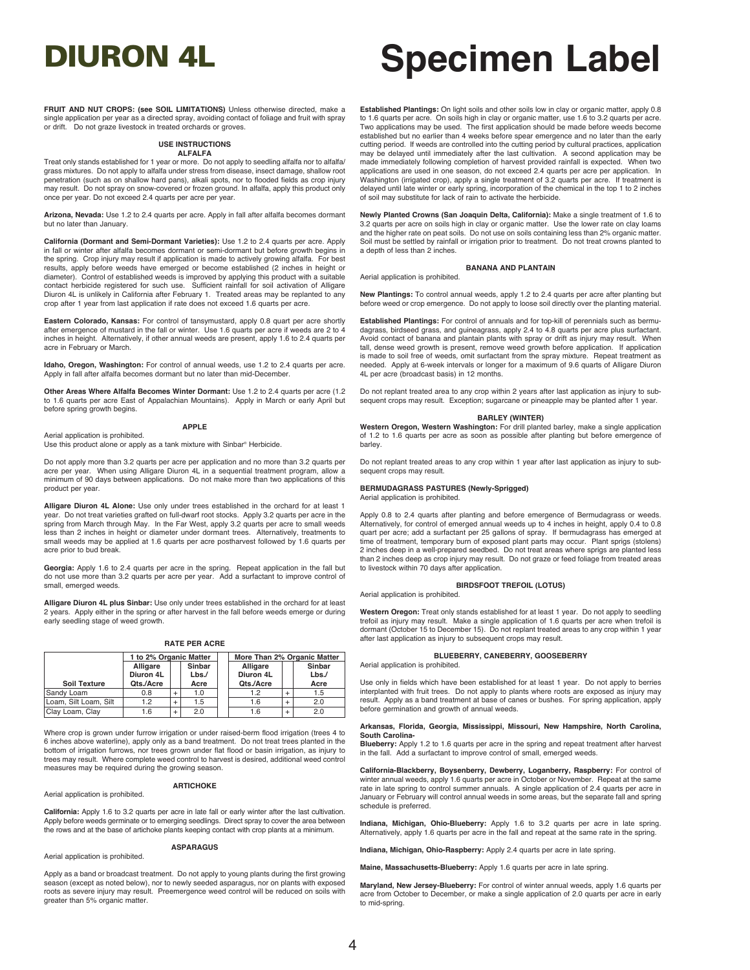**FRUIT AND NUT CROPS: (see SOIL LIMITATIONS)** Unless otherwise directed, make a single application per year as a directed spray, avoiding contact of foliage and fruit with spray or drift. Do not graze livestock in treated orchards or groves.

#### **USE INSTRUCTIONS ALFALFA**

Treat only stands established for 1 year or more. Do not apply to seedling alfalfa nor to alfalfa/ grass mixtures. Do not apply to alfalfa under stress from disease, insect damage, shallow root penetration (such as on shallow hard pans), alkali spots, nor to flooded fields as crop injury may result. Do not spray on snow-covered or frozen ground. In alfalfa, apply this product only once per year. Do not exceed 2.4 quarts per acre per year.

**Arizona, Nevada:** Use 1.2 to 2.4 quarts per acre. Apply in fall after alfalfa becomes dormant but no later than January.

**California (Dormant and Semi-Dormant Varieties):** Use 1.2 to 2.4 quarts per acre. Apply in fall or winter after alfalfa becomes dormant or semi-dormant but before growth begins in the spring. Crop injury may result if application is made to actively growing alfalfa. For best results, apply before weeds have emerged or become established (2 inches in height or diameter). Control of established weeds is improved by applying this product with a suitable contact herbicide registered for such use. Sufficient rainfall for soil activation of Alligare Diuron 4L is unlikely in California after February 1. Treated areas may be replanted to any crop after 1 year from last application if rate does not exceed 1.6 quarts per acre.

**Eastern Colorado, Kansas:** For control of tansymustard, apply 0.8 quart per acre shortly after emergence of mustard in the fall or winter. Use 1.6 quarts per acre if weeds are 2 to 4 inches in height. Alternatively, if other annual weeds are present, apply 1.6 to 2.4 quarts per acre in February or March.

**Idaho, Oregon, Washington:** For control of annual weeds, use 1.2 to 2.4 quarts per acre. Apply in fall after alfalfa becomes dormant but no later than mid-December.

**Other Areas Where Alfalfa Becomes Winter Dormant:** Use 1.2 to 2.4 quarts per acre (1.2 to 1.6 quarts per acre East of Appalachian Mountains). Apply in March or early April but before spring growth begins.

#### **APPLE**

Aerial application is prohibited. Use this product alone or apply as a tank mixture with Sinbar® Herbicide.

Do not apply more than 3.2 quarts per acre per application and no more than 3.2 quarts per acre per year. When using Alligare Diuron 4L in a sequential treatment program, allow a minimum of 90 days between applications. Do not make more than two applications of this product per year.

**Alligare Diuron 4L Alone:** Use only under trees established in the orchard for at least 1 year. Do not treat varieties grafted on full-dwarf root stocks. Apply 3.2 quarts per acre in the spring from March through May. In the Far West, apply 3.2 quarts per acre to small weeds less than 2 inches in height or diameter under dormant trees. Alternatively, treatments to small weeds may be applied at 1.6 quarts per acre postharvest followed by 1.6 quarts per acre prior to bud break.

**Georgia:** Apply 1.6 to 2.4 quarts per acre in the spring. Repeat application in the fall but do not use more than 3.2 quarts per acre per year. Add a surfactant to improve control of small, emerged weeds.

**Alligare Diuron 4L plus Sinbar:** Use only under trees established in the orchard for at least 2 years. Apply either in the spring or after harvest in the fall before weeds emerge or during early seedling stage of weed growth.

#### **RATE PER ACRE**

|                       | 1 to 2% Organic Matter |           |          | More Than 2% Organic Matter |           |      |
|-----------------------|------------------------|-----------|----------|-----------------------------|-----------|------|
|                       | Sinbar<br>Alligare     |           | Alligare |                             | Sinbar    |      |
|                       | Diuron 4L              |           | Lbs.     | Diuron 4L                   |           | Lbs  |
| <b>Soil Texture</b>   | Qts./Acre              |           | Acre     | Qts./Acre                   |           | Acre |
| Sandy Loam            | 0.8                    |           | 1.0      | 1.2                         |           | 1.5  |
| Loam, Silt Loam, Silt | 1.2                    | $\ddot{}$ | 1.5      | 1.6                         |           | 2.0  |
| Clay Loam, Clay       | 1.6                    | $\ddot{}$ | 2.0      | 1.6                         | $\ddot{}$ | 2.0  |

Where crop is grown under furrow irrigation or under raised-berm flood irrigation (trees 4 to 6 inches above waterline), apply only as a band treatment. Do not treat trees planted in the bottom of irrigation furrows, nor trees grown under flat flood or basin irrigation, as injury to trees may result. Where complete weed control to harvest is desired, additional weed control measures may be required during the growing season.

#### **ARTICHOKE**

**California:** Apply 1.6 to 3.2 quarts per acre in late fall or early winter after the last cultivation. Apply before weeds germinate or to emerging seedlings. Direct spray to cover the area between the rows and at the base of artichoke plants keeping contact with crop plants at a minimum.

#### **ASPARAGUS**

#### Aerial application is prohibited.

Aerial application is prohibited.

Apply as a band or broadcast treatment. Do not apply to young plants during the first growing season (except as noted below), nor to newly seeded asparagus, nor on plants with exposed roots as severe injury may result. Preemergence weed control will be reduced on soils with greater than 5% organic matter.

## DIURON 4L **Specimen Label**

**Established Plantings:** On light soils and other soils low in clay or organic matter, apply 0.8 to 1.6 quarts per acre. On soils high in clay or organic matter, use 1.6 to 3.2 quarts per acre. Two applications may be used. The first application should be made before weeds become established but no earlier than 4 weeks before spear emergence and no later than the early cutting period. If weeds are controlled into the cutting period by cultural practices, application may be delayed until immediately after the last cultivation. A second application may be made immediately following completion of harvest provided rainfall is expected. When two applications are used in one season, do not exceed 2.4 quarts per acre per application. In Washington (irrigated crop), apply a single treatment of 3.2 quarts per acre. If treatment is delayed until late winter or early spring, incorporation of the chemical in the top 1 to 2 inches of soil may substitute for lack of rain to activate the herbicide.

**Newly Planted Crowns (San Joaquin Delta, California):** Make a single treatment of 1.6 to 3.2 quarts per acre on soils high in clay or organic matter. Use the lower rate on clay loams and the higher rate on peat soils. Do not use on soils containing less than 2% organic matter. Soil must be settled by rainfall or irrigation prior to treatment. Do not treat crowns planted to a depth of less than 2 inches.

#### **BANANA AND PLANTAIN** Aerial application is prohibited.

**New Plantings:** To control annual weeds, apply 1.2 to 2.4 quarts per acre after planting but before weed or crop emergence. Do not apply to loose soil directly over the planting material.

**Established Plantings:** For control of annuals and for top-kill of perennials such as bermudagrass, birdseed grass, and guineagrass, apply 2.4 to 4.8 quarts per acre plus surfactant. Avoid contact of banana and plantain plants with spray or drift as injury may result. When tall, dense weed growth is present, remove weed growth before application. If application is made to soil free of weeds, omit surfactant from the spray mixture. Repeat treatment as needed. Apply at 6-week intervals or longer for a maximum of 9.6 quarts of Alligare Diuron 4L per acre (broadcast basis) in 12 months.

Do not replant treated area to any crop within 2 years after last application as injury to subsequent crops may result. Exception; sugarcane or pineapple may be planted after 1 year.

#### **BARLEY (WINTER)**

**Western Oregon, Western Washington:** For drill planted barley, make a single application of 1.2 to 1.6 quarts per acre as soon as possible after planting but before emergence of barley.

Do not replant treated areas to any crop within 1 year after last application as injury to subsequent crops may result.

#### **BERMUDAGRASS PASTURES (Newly-Sprigged)** Aerial application is prohibited.

Apply 0.8 to 2.4 quarts after planting and before emergence of Bermudagrass or weeds. Alternatively, for control of emerged annual weeds up to 4 inches in height, apply 0.4 to 0.8 quart per acre; add a surfactant per 25 gallons of spray. If bermudagrass has emerged at time of treatment, temporary burn of exposed plant parts may occur. Plant sprigs (stolens) 2 inches deep in a well-prepared seedbed. Do not treat areas where sprigs are planted less than 2 inches deep as crop injury may result. Do not graze or feed foliage from treated areas to livestock within 70 days after application.

#### **BIRDSFOOT TREFOIL (LOTUS)**

Aerial application is prohibited.

**Western Oregon:** Treat only stands established for at least 1 year. Do not apply to seedling trefoil as injury may result. Make a single application of 1.6 quarts per acre when trefoil is dormant (October 15 to December 15). Do not replant treated areas to any crop within 1 year after last application as injury to subsequent crops may result.

#### **BLUEBERRY, CANEBERRY, GOOSEBERRY**

Aerial application is prohibited.

Use only in fields which have been established for at least 1 year. Do not apply to berries interplanted with fruit trees. Do not apply to plants where roots are exposed as injury may result. Apply as a band treatment at base of canes or bushes. For spring application, apply before germination and growth of annual weeds.

#### **Arkansas, Florida, Georgia, Mississippi, Missouri, New Hampshire, North Carolina, South Carolina-**

**Blueberry:** Apply 1.2 to 1.6 quarts per acre in the spring and repeat treatment after harvest in the fall. Add a surfactant to improve control of small, emerged weeds.

**California-Blackberry, Boysenberry, Dewberry, Loganberry, Raspberry:** For control of winter annual weeds, apply 1.6 quarts per acre in October or November. Repeat at the same rate in late spring to control summer annuals. A single application of 2.4 quarts per acre in January or February will control annual weeds in some areas, but the separate fall and spring schedule is preferred.

**Indiana, Michigan, Ohio-Blueberry:** Apply 1.6 to 3.2 quarts per acre in late spring. Alternatively, apply 1.6 quarts per acre in the fall and repeat at the same rate in the spring.

**Indiana, Michigan, Ohio-Raspberry:** Apply 2.4 quarts per acre in late spring.

**Maine, Massachusetts-Blueberry:** Apply 1.6 quarts per acre in late spring.

**Maryland, New Jersey-Blueberry:** For control of winter annual weeds, apply 1.6 quarts per acre from October to December, or make a single application of 2.0 quarts per acre in early to mid-spring.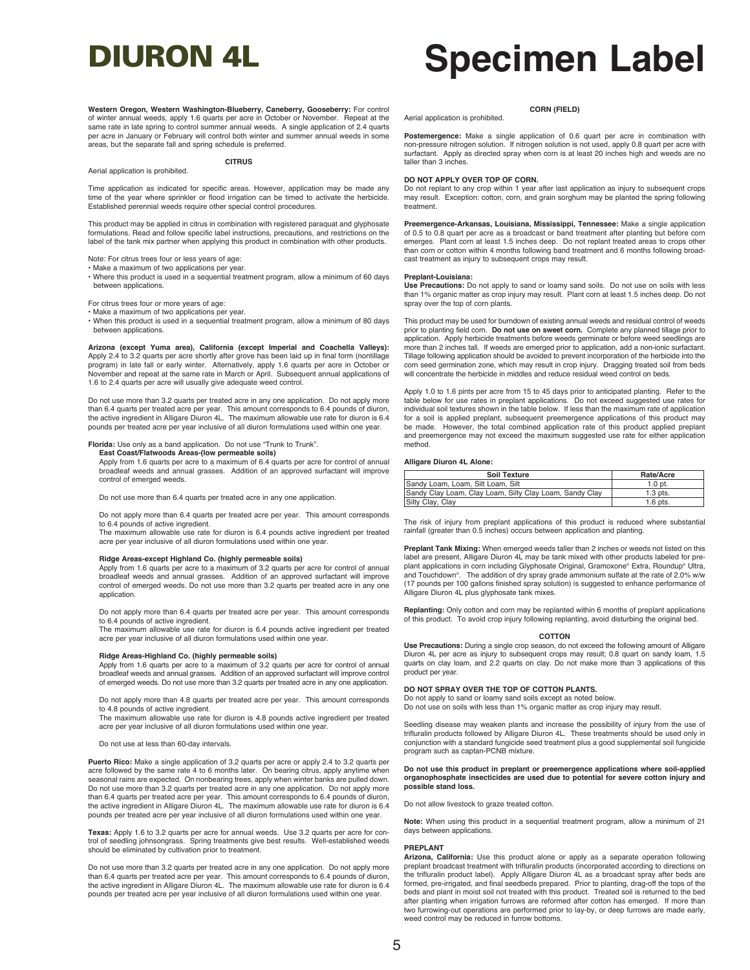**Western Oregon, Western Washington-Blueberry, Caneberry, Gooseberry:** For control of winter annual weeds, apply 1.6 quarts per acre in October or November. Repeat at the same rate in late spring to control summer annual weeds. A single application of 2.4 quarts per acre in January or February will control both winter and summer annual weeds in some areas, but the separate fall and spring schedule is preferred.

#### **CITRUS**

Time application as indicated for specific areas. However, application may be made any time of the year where sprinkler or flood irrigation can be timed to activate the herbicide. Established perennial weeds require other special control procedures.

This product may be applied in citrus in combination with registered paraquat and glyphosate formulations. Read and follow specific label instructions, precautions, and restrictions on the label of the tank mix partner when applying this product in combination with other products.

Note: For citrus trees four or less years of age:

Aerial application is prohibited.

- Make a maximum of two applications per year.
- Where this product is used in a sequential treatment program, allow a minimum of 60 days between applications.

For citrus trees four or more years of age:

• Make a maximum of two applications per year. • When this product is used in a sequential treatment program, allow a minimum of 80 days between applications.

**Arizona (except Yuma area), California (except Imperial and Coachella Valleys):** Apply 2.4 to 3.2 quarts per acre shortly after grove has been laid up in final form (nontillage program) in late fall or early winter. Alternatively, apply 1.6 quarts per acre in October or November and repeat at the same rate in March or April. Subsequent annual applications of 1.6 to 2.4 quarts per acre will usually give adequate weed control.

Do not use more than 3.2 quarts per treated acre in any one application. Do not apply more than 6.4 quarts per treated acre per year. This amount corresponds to 6.4 pounds of diuron,<br>the active ingredient in Alligare Diuron 4L. The maximum allowable use rate for diuron is 6.4 pounds per treated acre per year inclusive of all diuron formulations used within one year.

**Florida:** Use only as a band application. Do not use "Trunk to Trunk". **East Coast/Flatwoods Areas-(low permeable soils)**

Apply from 1.6 quarts per acre to a maximum of 6.4 quarts per acre for control of annual broadleaf weeds and annual grasses. Addition of an approved surfactant will improve control of emerged weeds.

Do not use more than 6.4 quarts per treated acre in any one application.

Do not apply more than 6.4 quarts per treated acre per year. This amount corresponds to 6.4 pounds of active ingredient.

The maximum allowable use rate for diuron is 6.4 pounds active ingredient per treated acre per year inclusive of all diuron formulations used within one year.

### **Ridge Areas-except Highland Co. (highly permeable soils)**

Apply from 1.6 quarts per acre to a maximum of 3.2 quarts per acre for control of annual broadleaf weeds and annual grasses. Addition of an approved surfactant will improve control of emerged weeds. Do not use more than 3.2 quarts per treated acre in any one application.

Do not apply more than 6.4 quarts per treated acre per year. This amount corresponds to 6.4 pounds of active ingredient.

The maximum allowable use rate for diuron is 6.4 pounds active ingredient per treated acre per year inclusive of all diuron formulations used within one year.

#### **Ridge Areas-Highland Co. (highly permeable soils)**

Apply from 1.6 quarts per acre to a maximum of 3.2 quarts per acre for control of annual broadleaf weeds and annual grasses. Addition of an approved surfactant will improve control of emerged weeds. Do not use more than 3.2 quarts per treated acre in any one application.

Do not apply more than 4.8 quarts per treated acre per year. This amount corresponds to 4.8 pounds of active ingredient.

The maximum allowable use rate for diuron is 4.8 pounds active ingredient per treated acre per year inclusive of all diuron formulations used within one year.

Do not use at less than 60-day intervals.

**Puerto Rico:** Make a single application of 3.2 quarts per acre or apply 2.4 to 3.2 quarts per acre followed by the same rate 4 to 6 months later. On bearing citrus, apply anytime when seasonal rains are expected. On nonbearing trees, apply when winter banks are pulled down. Do not use more than 3.2 quarts per treated acre in any one application. Do not apply more than 6.4 quarts per treated acre per year. This amount corresponds to 6.4 pounds of diuron,<br>the active ingredient in Alligare Diuron 4L. The maximum allowable use rate for diuron is 6.4 pounds per treated acre per year inclusive of all diuron formulations used within one year.

**Texas:** Apply 1.6 to 3.2 quarts per acre for annual weeds. Use 3.2 quarts per acre for control of seedling johnsongrass. Spring treatments give best results. Well-established weeds should be eliminated by cultivation prior to treatment.

Do not use more than 3.2 quarts per treated acre in any one application. Do not apply more than 6.4 quarts per treated acre per year. This amount corresponds to 6.4 pounds of diuron, the active ingredient in Alligare Diuron 4L. The maximum allowable use rate for diuron is 6.4 pounds per treated acre per year inclusive of all diuron formulations used within one year.

## DIURON 4L **Specimen Label**

Aerial application is prohibited.

**CORN (FIELD)**

**Postemergence:** Make a single application of 0.6 quart per acre in combination with non-pressure nitrogen solution. If nitrogen solution is not used, apply 0.8 quart per acre with surfactant. Apply as directed spray when corn is at least 20 inches high and weeds are no taller than 3 inches.

#### **DO NOT APPLY OVER TOP OF CORN.**

Do not replant to any crop within 1 year after last application as injury to subsequent crops may result. Exception: cotton, corn, and grain sorghum may be planted the spring following treatment.

**Preemergence-Arkansas, Louisiana, Mississippi, Tennessee:** Make a single application of 0.5 to 0.8 quart per acre as a broadcast or band treatment after planting but before corn emerges. Plant corn at least 1.5 inches deep. Do not replant treated areas to crops other<br>than corn or cotton within 4 months following band treatment and 6 months following broadcast treatment as injury to subsequent crops may result.

#### **Preplant-Louisiana:**

**Use Precautions:** Do not apply to sand or loamy sand soils. Do not use on soils with less than 1% organic matter as crop injury may result. Plant corn at least 1.5 inches deep. Do not spray over the top of corn plants.

This product may be used for burndown of existing annual weeds and residual control of weeds prior to planting field corn. **Do not use on sweet corn.** Complete any planned tillage prior to application. Apply herbicide treatments before weeds germinate or before weed seedlings are more than 2 inches tall. If weeds are emerged prior to application, add a non-ionic surfactant. Tillage following application should be avoided to prevent incorporation of the herbicide into the corn seed germination zone, which may result in crop injury. Dragging treated soil from beds will concentrate the herbicide in middles and reduce residual weed control on beds.

Apply 1.0 to 1.6 pints per acre from 15 to 45 days prior to anticipated planting. Refer to the table below for use rates in preplant applications. Do not exceed suggested use rates for individual soil textures shown in the table below. If less than the maximum rate of application for a soil is applied preplant, subsequent preemergence applications of this product may be made. However, the total combined application rate of this product applied preplant and preemergence may not exceed the maximum suggested use rate for either application method.

#### **Alligare Diuron 4L Alone:**

| Soil Texture                                            | Rate/Acre  |
|---------------------------------------------------------|------------|
| Sandy Loam, Loam, Silt Loam, Silt                       | $1.0$ pt.  |
| Sandy Clay Loam, Clay Loam, Silty Clay Loam, Sandy Clay | $1.3$ pts. |
| Silty Clay, Clay                                        | $1.6$ pts. |

The risk of injury from preplant applications of this product is reduced where substantial rainfall (greater than 0.5 inches) occurs between application and planting.

**Preplant Tank Mixing:** When emerged weeds taller than 2 inches or weeds not listed on this label are present, Alligare Diuron 4L may be tank mixed with other products labeled for preplant applications in corn including Glyphosate Original, Gramoxone® Extra, Roundup® Ultra, and Touchdown®. The addition of dry spray grade ammonium sulfate at the rate of 2.0% w/w (17 pounds per 100 gallons finished spray solution) is suggested to enhance performance of Alligare Diuron 4L plus glyphosate tank mixes.

**Replanting:** Only cotton and corn may be replanted within 6 months of preplant applications of this product. To avoid crop injury following replanting, avoid disturbing the original bed.

#### **COTTON**

**Use Precautions:** During a single crop season, do not exceed the following amount of Alligare Diuron 4L per acre as injury to subsequent crops may result; 0.8 quart on sandy loam, 1.5 quarts on clay loam, and 2.2 quarts on clay. Do not make more than 3 applications of this product per year.

### **DO NOT SPRAY OVER THE TOP OF COTTON PLANTS.**

Do not apply to sand or loamy sand soils except as noted below.

Do not use on soils with less than 1% organic matter as crop injury may result.

Seedling disease may weaken plants and increase the possibility of injury from the use of trifluralin products followed by Alligare Diuron 4L. These treatments should be used only in conjunction with a standard fungicide seed treatment plus a good supplemental soil fungicide program such as captan-PCNB mixture.

## **Do not use this product in preplant or preemergence applications where soil-applied organophosphate insecticides are used due to potential for severe cotton injury and possible stand loss.**

Do not allow livestock to graze treated cotton.

**Note:** When using this product in a sequential treatment program, allow a minimum of 21 days between applications.

#### **PREPLANT**

**Arizona, California:** Use this product alone or apply as a separate operation following preplant broadcast treatment with trifluralin products (incorporated according to directions on the trifluralin product label). Apply Alligare Diuron 4L as a broadcast spray after beds are formed, pre-irrigated, and final seedbeds prepared. Prior to planting, drag-off the tops of the beds and plant in moist soil not treated with this product. Treated soil is returned to the bed after planting when irrigation furrows are reformed after cotton has emerged. If more than two furrowing-out operations are performed prior to lay-by, or deep furrows are made early, weed control may be reduced in furrow bottoms.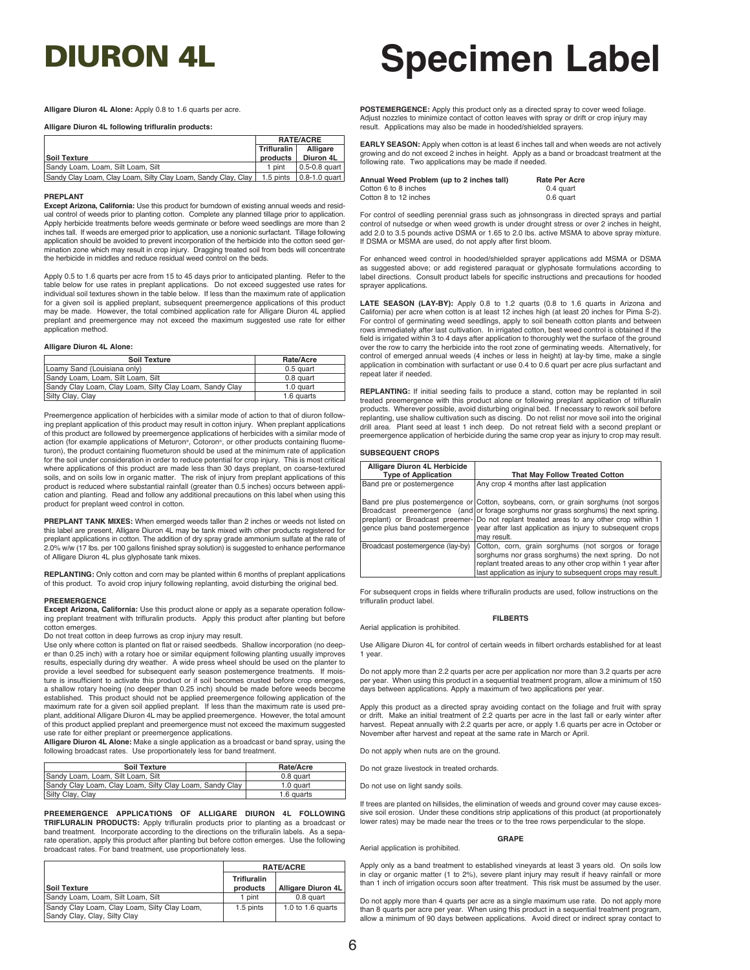**Alligare Diuron 4L Alone:** Apply 0.8 to 1.6 quarts per acre.

**Alligare Diuron 4L following trifluralin products:**

|                                                               | <b>RATE/ACRE</b> |                       |
|---------------------------------------------------------------|------------------|-----------------------|
|                                                               | Trifluralin      | Alligare              |
| <b>Soil Texture</b>                                           | products         | Diuron 4L             |
| Sandy Loam, Loam, Silt Loam, Silt                             | 1 pint           | $\vert$ 0.5-0.8 quart |
| Sandy Clay Loam, Clay Loam, Silty Clay Loam, Sandy Clay, Clay | 1.5 pints        | $\vert$ 0.8-1.0 quart |

#### **PREPLANT**

**Except Arizona, California:** Use this product for burndown of existing annual weeds and residual control of weeds prior to planting cotton. Complete any planned tillage prior to application. Apply herbicide treatments before weeds germinate or before weed seedlings are more than 2 inches tall. If weeds are emerged prior to application, use a nonionic surfactant. Tillage following application should be avoided to prevent incorporation of the herbicide into the cotton seed germination zone which may result in crop injury. Dragging treated soil from beds will concentrate the herbicide in middles and reduce residual weed control on the beds.

Apply 0.5 to 1.6 quarts per acre from 15 to 45 days prior to anticipated planting. Refer to the table below for use rates in preplant applications. Do not exceed suggested use rates for individual soil textures shown in the table below. If less than the maximum rate of application for a given soil is applied preplant, subsequent preemergence applications of this product may be made. However, the total combined application rate for Alligare Diuron 4L applied preplant and preemergence may not exceed the maximum suggested use rate for either application method.

#### **Alligare Diuron 4L Alone:**

| <b>Soil Texture</b>                                     | Rate/Acre  |
|---------------------------------------------------------|------------|
| Loamy Sand (Louisiana only)                             | 0.5 quart  |
| Sandy Loam. Loam. Silt Loam. Silt                       | 0.8 quart  |
| Sandy Clay Loam, Clay Loam, Silty Clay Loam, Sandy Clay | 1.0 quart  |
| Silty Clay, Clay                                        | 1.6 quarts |

Preemergence application of herbicides with a similar mode of action to that of diuron following preplant application of this product may result in cotton injury. When preplant applications of this product are followed by preemergence applications of herbicides with a similar mode of action (for example applications of Meturon®, Cotoron®, or other products containing fluometuron), the product containing fluometuron should be used at the minimum rate of application for the soil under consideration in order to reduce potential for crop injury. This is most critical where applications of this product are made less than 30 days preplant, on coarse-textured soils, and on soils low in organic matter. The risk of injury from preplant applications of this product is reduced where substantial rainfall (greater than 0.5 inches) occurs between application and planting. Read and follow any additional precautions on this label when using this product for preplant weed control in cotton.

**PREPLANT TANK MIXES:** When emerged weeds taller than 2 inches or weeds not listed on this label are present, Alligare Diuron 4L may be tank mixed with other products registered for preplant applications in cotton. The addition of dry spray grade ammonium sulfate at the rate of 2.0% w/w (17 lbs. per 100 gallons finished spray solution) is suggested to enhance performance of Alligare Diuron 4L plus glyphosate tank mixes.

**REPLANTING:** Only cotton and corn may be planted within 6 months of preplant applications of this product. To avoid crop injury following replanting, avoid disturbing the original bed.

#### **PREEMERGENCE**

**Except Arizona, California:** Use this product alone or apply as a separate operation following preplant treatment with trifluralin products. Apply this product after planting but before cotton emerges.

Do not treat cotton in deep furrows as crop injury may result.

Use only where cotton is planted on flat or raised seedbeds. Shallow incorporation (no deeper than 0.25 inch) with a rotary hoe or similar equipment following planting usually improves results, especially during dry weather. A wide press wheel should be used on the planter to provide a level seedbed for subsequent early season postemergence treatments. If moisture is insufficient to activate this product or if soil becomes crusted before crop emerges, a shallow rotary hoeing (no deeper than 0.25 inch) should be made before weeds become established. This product should not be applied preemergence following application of the maximum rate for a given soil applied preplant. If less than the maximum rate is used preplant, additional Alligare Diuron 4L may be applied preemergence. However, the total amount of this product applied preplant and preemergence must not exceed the maximum suggested use rate for either preplant or preemergence applications.

**Alligare Diuron 4L Alone:** Make a single application as a broadcast or band spray, using the<br>following broadcast rates. Use proportionately less for band treatment.

| Soil Texture                                            | Rate/Acre  |
|---------------------------------------------------------|------------|
| Sandy Loam, Loam, Silt Loam, Silt                       | 0.8 quart  |
| Sandy Clay Loam, Clay Loam, Silty Clay Loam, Sandy Clay | 1.0 quart  |
| Silty Clay, Clay                                        | 1.6 quarts |

**PREEMERGENCE APPLICATIONS OF ALLIGARE DIURON 4L FOLLOWING TRIFLURALIN PRODUCTS:** Apply trifluralin products prior to planting as a broadcast or band treatment. Incorporate according to the directions on the trifluralin labels. As a separate operation, apply this product after planting but before cotton emerges. Use the following broadcast rates. For band treatment, use proportionately less.

|                                                                              | <b>RATE/ACRE</b>                                            |                   |  |  |
|------------------------------------------------------------------------------|-------------------------------------------------------------|-------------------|--|--|
| Soil Texture                                                                 | <b>Trifluralin</b><br><b>Alligare Diuron 4L</b><br>products |                   |  |  |
| Sandy Loam, Loam, Silt Loam, Silt                                            | 1 pint                                                      | 0.8 quart         |  |  |
| Sandy Clay Loam, Clay Loam, Silty Clay Loam,<br>Sandy Clay, Clay, Silty Clay | 1.5 pints                                                   | 1.0 to 1.6 quarts |  |  |

**POSTEMERGENCE:** Apply this product only as a directed spray to cover weed foliage. Adjust nozzles to minimize contact of cotton leaves with spray or drift or crop injury may result. Applications may also be made in hooded/shielded sprayers.

**EARLY SEASON:** Apply when cotton is at least 6 inches tall and when weeds are not actively growing and do not exceed 2 inches in height. Apply as a band or broadcast treatment at the following rate. Two applications may be made if needed.

| Annual Weed Problem (up to 2 inches tall) | <b>Rate Per Acre</b> |
|-------------------------------------------|----------------------|
| Cotton 6 to 8 inches                      | 0.4 quart            |
| Cotton 8 to 12 inches                     | 0.6 quart            |

For control of seedling perennial grass such as johnsongrass in directed sprays and partial control of nutsedge or when weed growth is under drought stress or over 2 inches in height, add 2.0 to 3.5 pounds active DSMA or 1.65 to 2.0 lbs. active MSMA to above spray mixture. If DSMA or MSMA are used, do not apply after first bloom.

For enhanced weed control in hooded/shielded sprayer applications add MSMA or DSMA as suggested above; or add registered paraquat or glyphosate formulations according to label directions. Consult product labels for specific instructions and precautions for hooded sprayer applications.

**LATE SEASON (LAY-BY):** Apply 0.8 to 1.2 quarts (0.8 to 1.6 quarts in Arizona and California) per acre when cotton is at least 12 inches high (at least 20 inches for Pima S-2). For control of germinating weed seedlings, apply to soil beneath cotton plants and between rows immediately after last cultivation. In irrigated cotton, best weed control is obtained if the field is irrigated within 3 to 4 days after application to thoroughly wet the surface of the ground over the row to carry the herbicide into the root zone of germinating weeds. Alternatively, for control of emerged annual weeds (4 inches or less in height) at lay-by time, make a single application in combination with surfactant or use 0.4 to 0.6 quart per acre plus surfactant and repeat later if needed.

**REPLANTING:** If initial seeding fails to produce a stand, cotton may be replanted in soil treated preemergence with this product alone or following preplant application of trifluralin products. Wherever possible, avoid disturbing original bed. If necessary to rework soil before replanting, use shallow cultivation such as discing. Do not relist nor move soil into the original drill area. Plant seed at least 1 inch deep. Do not retreat field with a second preplant or preemergence application of herbicide during the same crop year as injury to crop may result.

#### **SUBSEQUENT CROPS**

| Alligare Diuron 4L Herbicide<br><b>Type of Application</b> | <b>That May Follow Treated Cotton</b>                                                                                                                                                                                                                                                                                                              |
|------------------------------------------------------------|----------------------------------------------------------------------------------------------------------------------------------------------------------------------------------------------------------------------------------------------------------------------------------------------------------------------------------------------------|
| Band pre or postemergence                                  | Any crop 4 months after last application                                                                                                                                                                                                                                                                                                           |
| gence plus band postemergence                              | Band pre plus postemergence or Cotton, soybeans, corn, or grain sorghums (not sorgos<br>Broadcast preemergence (and or forage sorghums nor grass sorghums) the next spring.<br>preplant) or Broadcast preemer- Do not replant treated areas to any other crop within 1<br>vear after last application as injury to subsequent crops<br>may result. |
| Broadcast postemergence (lay-by)                           | Cotton, corn, grain sorghums (not sorgos or forage)<br>sorghums nor grass sorghums) the next spring. Do not<br>replant treated areas to any other crop within 1 year after<br>last application as injury to subsequent crops may result.                                                                                                           |

For subsequent crops in fields where trifluralin products are used, follow instructions on the trifluralin product label.

### **FILBERTS**

Use Alligare Diuron 4L for control of certain weeds in filbert orchards established for at least 1 year.

Do not apply more than 2.2 quarts per acre per application nor more than 3.2 quarts per acre per year. When using this product in a sequential treatment program, allow a minimum of 150 days between applications. Apply a maximum of two applications per year.

Apply this product as a directed spray avoiding contact on the foliage and fruit with spray or drift. Make an initial treatment of 2.2 quarts per acre in the last fall or early winter after harvest. Repeat annually with 2.2 quarts per acre, or apply 1.6 quarts per acre in October or November after harvest and repeat at the same rate in March or April.

Do not apply when nuts are on the ground.

Do not graze livestock in treated orchards.

Do not use on light sandy soils.

Aerial application is prohibited.

Aerial application is prohibited.

If trees are planted on hillsides, the elimination of weeds and ground cover may cause excessive soil erosion. Under these conditions strip applications of this product (at proportionately lower rates) may be made near the trees or to the tree rows perpendicular to the slope.

#### **GRAPE**

Apply only as a band treatment to established vineyards at least 3 years old. On soils low in clay or organic matter (1 to 2%), severe plant injury may result if heavy rainfall or more than 1 inch of irrigation occurs soon after treatment. This risk must be assumed by the user.

Do not apply more than 4 quarts per acre as a single maximum use rate. Do not apply more than 8 quarts per acre per year. When using this product in a sequential treatment program, allow a minimum of 90 days between applications. Avoid direct or indirect spray contact to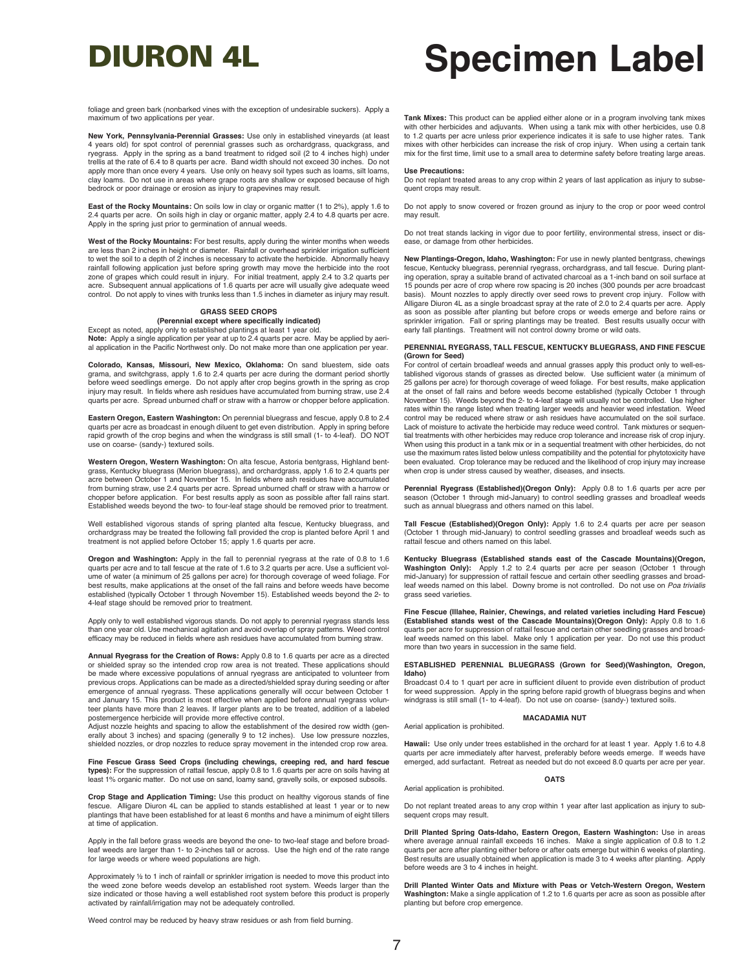foliage and green bark (nonbarked vines with the exception of undesirable suckers). Apply a maximum of two applications per year.

**New York, Pennsylvania-Perennial Grasses:** Use only in established vineyards (at least 4 years old) for spot control of perennial grasses such as orchardgrass, quackgrass, and ryegrass. Apply in the spring as a band treatment to ridged soil (2 to 4 inches high) under trellis at the rate of 6.4 to 8 quarts per acre. Band width should not exceed 30 inches. Do not apply more than once every 4 years. Use only on heavy soil types such as loams, silt loams, clay loams. Do not use in areas where grape roots are shallow or exposed because of high bedrock or poor drainage or erosion as injury to grapevines may result.

**East of the Rocky Mountains:** On soils low in clay or organic matter (1 to 2%), apply 1.6 to 2.4 quarts per acre. On soils high in clay or organic matter, apply 2.4 to 4.8 quarts per acre. Apply in the spring just prior to germination of annual weeds.

**West of the Rocky Mountains:** For best results, apply during the winter months when weeds are less than 2 inches in height or diameter. Rainfall or overhead sprinkler irrigation sufficient to wet the soil to a depth of 2 inches is necessary to activate the herbicide. Abnormally heavy rainfall following application just before spring growth may move the herbicide into the root<br>zone of grapes which could result in injury. For initial treatment, apply 2.4 to 3.2 quarts per<br>acre. Subsequent annual applicat

### **GRASS SEED CROPS**

**(Perennial except where specifically indicated)** Except as noted, apply only to established plantings at least 1 year old.

**Note:** Apply a single application per year at up to 2.4 quarts per acre. May be applied by aerial application in the Pacific Northwest only. Do not make more than one application per year.

**Colorado, Kansas, Missouri, New Mexico, Oklahoma:** On sand bluestem, side oats grama, and switchgrass, apply 1.6 to 2.4 quarts per acre during the dormant period shortly before weed seedlings emerge. Do not apply after crop begins growth in the spring as crop injury may result. In fields where ash residues have accumulated from burning straw, use 2.4 quarts per acre. Spread unburned chaff or straw with a harrow or chopper before application.

**Eastern Oregon, Eastern Washington:** On perennial bluegrass and fescue, apply 0.8 to 2.4 quarts per acre as broadcast in enough diluent to get even distribution. Apply in spring before rapid growth of the crop begins and when the windgrass is still small (1- to 4-leaf). DO NOT use on coarse- (sandy-) textured soils.

**Western Oregon, Western Washington:** On alta fescue, Astoria bentgrass, Highland bentgrass, Kentucky bluegrass (Merion bluegrass), and orchardgrass, apply 1.6 to 2.4 quarts per acre between October 1 and November 15. In fields where ash residues have accumulated from burning straw, use 2.4 quarts per acre. Spread unburned chaff or straw with a harrow or chopper before application. For best results apply as soon as possible after fall rains start. Established weeds beyond the two- to four-leaf stage should be removed prior to treatment.

Well established vigorous stands of spring planted alta fescue, Kentucky bluegrass, and orchardgrass may be treated the following fall provided the crop is planted before April 1 and treatment is not applied before October 15; apply 1.6 quarts per acre.

**Oregon and Washington:** Apply in the fall to perennial ryegrass at the rate of 0.8 to 1.6 quarts per acre and to tall fescue at the rate of 1.6 to 3.2 quarts per acre. Use a sufficient volume of water (a minimum of 25 gallons per acre) for thorough coverage of weed foliage. For best results, make applications at the onset of the fall rains and before weeds have become established (typically October 1 through November 15). Established weeds beyond the 2- to 4-leaf stage should be removed prior to treatment.

Apply only to well established vigorous stands. Do not apply to perennial ryegrass stands less than one year old. Use mechanical agitation and avoid overlap of spray patterns. Weed control efficacy may be reduced in fields where ash residues have accumulated from burning straw.

**Annual Ryegrass for the Creation of Rows:** Apply 0.8 to 1.6 quarts per acre as a directed or shielded spray so the intended crop row area is not treated. These applications should be made where excessive populations of annual ryegrass are anticipated to volunteer from previous crops. Applications can be made as a directed/shielded spray during seeding or after emergence of annual ryegrass. These applications generally will occur between October 1 and January 15. This product is most effective when applied before annual ryegrass volunteer plants have more than 2 leaves. If larger plants are to be treated, addition of a labeled postemergence herbicide will provide more effective control.

Adjust nozzle heights and spacing to allow the establishment of the desired row width (generally about 3 inches) and spacing (generally 9 to 12 inches). Use low pressure nozzles, shielded nozzles, or drop nozzles to reduce spray movement in the intended crop row area.

**Fine Fescue Grass Seed Crops (including chewings, creeping red, and hard fescue types):** For the suppression of rattail fescue, apply 0.8 to 1.6 quarts per acre on soils having at least 1% organic matter. Do not use on sand, loamy sand, gravelly soils, or exposed subsoils.

**Crop Stage and Application Timing:** Use this product on healthy vigorous stands of fine fescue. Alligare Diuron 4L can be applied to stands established at least 1 year or to new plantings that have been established for at least 6 months and have a minimum of eight tillers at time of application.

Apply in the fall before grass weeds are beyond the one- to two-leaf stage and before broadleaf weeds are larger than 1- to 2-inches tall or across. Use the high end of the rate range for large weeds or where weed populations are high.

Approximately ½ to 1 inch of rainfall or sprinkler irrigation is needed to move this product into the weed zone before weeds develop an established root system. Weeds larger than the size indicated or those having a well established root system before this product is properly activated by rainfall/irrigation may not be adequately controlled.

Weed control may be reduced by heavy straw residues or ash from field burning.

**Tank Mixes:** This product can be applied either alone or in a program involving tank mixes with other herbicides and adjuvants. When using a tank mix with other herbicides, use 0.8 to 1.2 quarts per acre unless prior experience indicates it is safe to use higher rates. Tank mixes with other herbicides can increase the risk of crop injury. When using a certain tank mix for the first time, limit use to a small area to determine safety before treating large areas.

#### **Use Precautions:**

Do not replant treated areas to any crop within 2 years of last application as injury to subsequent crops may result.

Do not apply to snow covered or frozen ground as injury to the crop or poor weed control may result.

Do not treat stands lacking in vigor due to poor fertility, environmental stress, insect or disease, or damage from other herbicides.

**New Plantings-Oregon, Idaho, Washington:** For use in newly planted bentgrass, chewings fescue, Kentucky bluegrass, perennial ryegrass, orchardgrass, and tall fescue. During planting operation, spray a suitable brand of activated charcoal as a 1-inch band on soil surface at 15 pounds per acre of crop where row spacing is 20 inches (300 pounds per acre broadcast basis). Mount nozzles to apply directly over seed rows to prevent crop injury. Follow with Alligare Diuron 4L as a single broadcast spray at the rate of 2.0 to 2.4 quarts per acre. Apply as soon as possible after planting but before crops or weeds emerge and before rains or sprinkler irrigation. Fall or spring plantings may be treated. Best results usually occur with early fall plantings. Treatment will not control downy brome or wild oats.

#### **PERENNIAL RYEGRASS, TALL FESCUE, KENTUCKY BLUEGRASS, AND FINE FESCUE (Grown for Seed)**

For control of certain broadleaf weeds and annual grasses apply this product only to well-established vigorous stands of grasses as directed below. Use sufficient water (a minimum of 25 gallons per acre) for thorough coverage of weed foliage. For best results, make application at the onset of fall rains and before weeds become established (typically October 1 through November 15). Weeds beyond the 2- to 4-leaf stage will usually not be controlled. Use higher rates within the range listed when treating larger weeds and heavier weed infestation. Weed control may be reduced where straw or ash residues have accumulated on the soil surface. Lack of moisture to activate the herbicide may reduce weed control. Tank mixtures or sequential treatments with other herbicides may reduce crop tolerance and increase risk of crop injury. When using this product in a tank mix or in a sequential treatment with other herbicides, do not use the maximum rates listed below unless compatibility and the potential for phytotoxicity have been evaluated. Crop tolerance may be reduced and the likelihood of crop injury may increase when crop is under stress caused by weather, diseases, and insects.

**Perennial Ryegrass (Established)(Oregon Only):** Apply 0.8 to 1.6 quarts per acre per season (October 1 through mid-January) to control seedling grasses and broadleaf weeds such as annual bluegrass and others named on this label.

**Tall Fescue (Established)(Oregon Only):** Apply 1.6 to 2.4 quarts per acre per season (October 1 through mid-January) to control seedling grasses and broadleaf weeds such as rattail fescue and others named on this label.

**Kentucky Bluegrass (Established stands east of the Cascade Mountains)(Oregon, Washington Only):** Apply 1.2 to 2.4 quarts per acre per season (October 1 through mid-January) for suppression of rattail fescue and certain other seedling grasses and broadleaf weeds named on this label. Downy brome is not controlled. Do not use on *Poa trivialis* grass seed varieties.

**Fine Fescue (Illahee, Rainier, Chewings, and related varieties including Hard Fescue) (Established stands west of the Cascade Mountains)(Oregon Only):** Apply 0.8 to 1.6 quarts per acre for suppression of rattail fescue and certain other seedling grasses and broadleaf weeds named on this label. Make only 1 application per year. Do not use this product more than two years in succession in the same field.

#### **ESTABLISHED PERENNIAL BLUEGRASS (Grown for Seed)(Washington, Oregon, Idaho)**

Broadcast 0.4 to 1 quart per acre in sufficient diluent to provide even distribution of product for weed suppression. Apply in the spring before rapid growth of bluegrass begins and when windgrass is still small (1- to 4-leaf). Do not use on coarse- (sandy-) textured soils.

#### **MACADAMIA NUT**

Aerial application is prohibited.

Aerial application is prohibited.

Hawaii: Use only under trees established in the orchard for at least 1 year. Apply 1.6 to 4.8 quarts per acre immediately after harvest, preferably before weeds emerge. If weeds have emerged, add surfactant. Retreat as needed but do not exceed 8.0 quarts per acre per year.

#### **OATS**

Do not replant treated areas to any crop within 1 year after last application as injury to subsequent crops may result.

**Drill Planted Spring Oats-Idaho, Eastern Oregon, Eastern Washington:** Use in areas where average annual rainfall exceeds 16 inches. Make a single application of 0.8 to 1.2 quarts per acre after planting either before or after oats emerge but within 6 weeks of planting. Best results are usually obtained when application is made 3 to 4 weeks after planting. Apply before weeds are 3 to 4 inches in height.

**Drill Planted Winter Oats and Mixture with Peas or Vetch-Western Oregon, Western Washington:** Make a single application of 1.2 to 1.6 quarts per acre as soon as possible after planting but before crop emergence.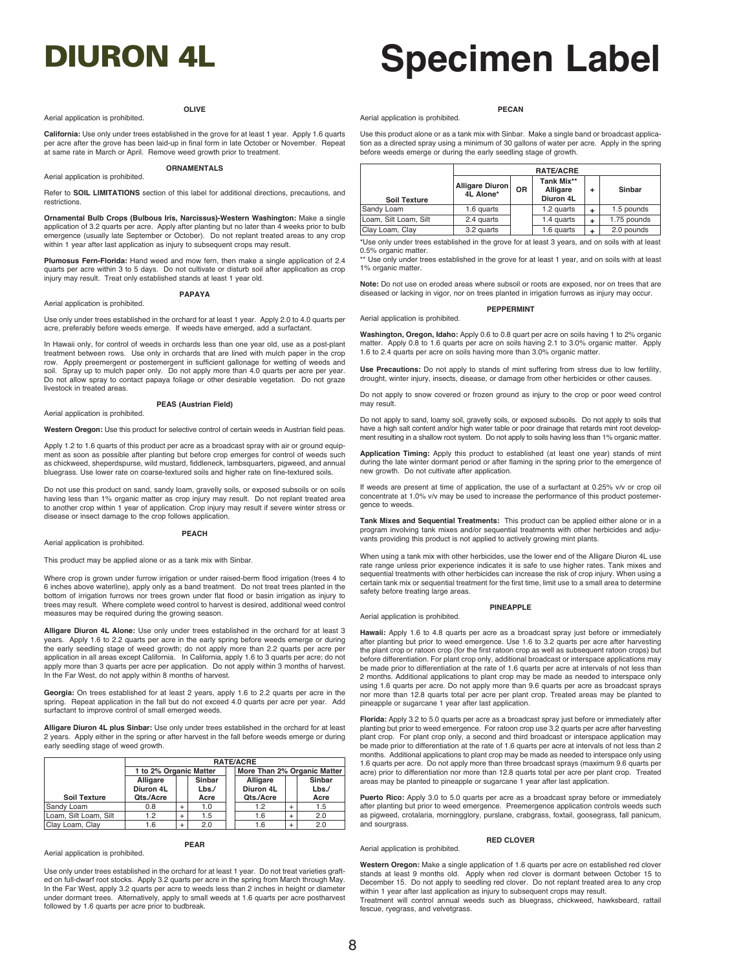### **OLIVE**

### Aerial application is prohibited.

#### **PECAN**

**California:** Use only under trees established in the grove for at least 1 year. Apply 1.6 quarts per acre after the grove has been laid-up in final form in late October or November. Repeat at same rate in March or April. Remove weed growth prior to treatment. **ORNAMENTALS**

#### Aerial application is prohibited.

Aerial application is prohibited.

Refer to **SOIL LIMITATIONS** section of this label for additional directions, precautions, and restrictions.

**Ornamental Bulb Crops (Bulbous Iris, Narcissus)-Western Washington:** Make a single application of 3.2 quarts per acre. Apply after planting but no later than 4 weeks prior to bulb emergence (usually late September or October). Do not replant treated areas to any crop within 1 year after last application as injury to subsequent crops may result.

**Plumosus Fern-Florida:** Hand weed and mow fern, then make a single application of 2.4 quarts per acre within 3 to 5 days. Do not cultivate or disturb soil after application as crop injury may result. Treat only established stands at least 1 year old.

#### **PAPAYA**

#### Aerial application is prohibited.

Aerial application is prohibited.

Use only under trees established in the orchard for at least 1 year. Apply 2.0 to 4.0 quarts per acre, preferably before weeds emerge. If weeds have emerged, add a surfactant.

In Hawaii only, for control of weeds in orchards less than one year old, use as a post-plant treatment between rows. Use only in orchards that are lined with mulch paper in the crop row. Apply preemergent or postemergent in sufficient gallonage for wetting of weeds and soil. Spray up to mulch paper only. Do not apply more than 4.0 quarts per acre per year. Do not allow spray to contact papaya foliage or other desirable vegetation. Do not graze livestock in treated areas.

## **PEAS (Austrian Field)**

**Western Oregon:** Use this product for selective control of certain weeds in Austrian field peas.

Apply 1.2 to 1.6 quarts of this product per acre as a broadcast spray with air or ground equipment as soon as possible after planting but before crop emerges for control of weeds such as chickweed, sheperdspurse, wild mustard, fiddleneck, lambsquarters, pigweed, and annual bluegrass. Use lower rate on coarse-textured soils and higher rate on fine-textured soils.

Do not use this product on sand, sandy loam, gravelly soils, or exposed subsoils or on soils having less than 1% organic matter as crop injury may result. Do not replant treated area to another crop within 1 year of application. Crop injury may result if severe winter stress or disease or insect damage to the crop follows application.

**PEACH**

#### Aerial application is prohibited.

Aerial application is prohibited.

This product may be applied alone or as a tank mix with Sinbar.

Where crop is grown under furrow irrigation or under raised-berm flood irrigation (trees 4 to 6 inches above waterline), apply only as a band treatment. Do not treat trees planted in the bottom of irrigation furrows nor trees grown under flat flood or basin irrigation as injury to trees may result. Where complete weed control to harvest is desired, additional weed control measures may be required during the growing season.

**Alligare Diuron 4L Alone:** Use only under trees established in the orchard for at least 3 years. Apply 1.6 to 2.2 quarts per acre in the early spring before weeds emerge or during the early seedling stage of weed growth; do not apply more than 2.2 quarts per acre per application in all areas except California. In California, apply 1.6 to 3 quarts per acre; do not apply more than 3 quarts per acre per application. Do not apply within 3 months of harvest. In the Far West, do not apply within 8 months of harvest.

**Georgia:** On trees established for at least 2 years, apply 1.6 to 2.2 quarts per acre in the spring. Repeat application in the fall but do not exceed 4.0 quarts per acre per year. Add surfactant to improve control of small emerged weeds.

**Alligare Diuron 4L plus Sinbar:** Use only under trees established in the orchard for at least 2 years. Apply either in the spring or after harvest in the fall before weeds emerge or during early seedling stage of weed growth.

|                       | <b>RATE/ACRE</b>       |               |           |  |                             |  |        |
|-----------------------|------------------------|---------------|-----------|--|-----------------------------|--|--------|
|                       | 1 to 2% Organic Matter |               |           |  | More Than 2% Organic Matter |  |        |
|                       | Alligare               | <b>Sinbar</b> |           |  | Alligare                    |  | Sinbar |
|                       | Diuron 4L<br>Lbs       |               | Diuron 4L |  | Lbs.                        |  |        |
| <b>Soil Texture</b>   | Qts./Acre              |               | Acre      |  | Qts./Acre                   |  | Acre   |
| Sandy Loam            | 0.8                    | +             | 1.0       |  | 1.2                         |  | 1.5    |
| Loam, Silt Loam, Silt | 1.2                    | $\ddot{}$     | 1.5       |  | 1.6                         |  | 2.0    |
| Clay Loam, Clay       | 1.6                    | $\ddot{}$     | 2.0       |  | 1.6                         |  | 2.0    |

### **PEAR**

Use only under trees established in the orchard for at least 1 year. Do not treat varieties grafted on full-dwarf root stocks. Apply 3.2 quarts per acre in the spring from March through May. In the Far West, apply 3.2 quarts per acre to weeds less than 2 inches in height or diameter under dormant trees. Alternatively, apply to small weeds at 1.6 quarts per acre postharvest followed by 1.6 quarts per acre prior to budbreak.

|                       | <b>RATE/ACRE</b>             |        |            |   |             |  |  |
|-----------------------|------------------------------|--------|------------|---|-------------|--|--|
| <b>Soil Texture</b>   | Alligare Diuron<br>4L Alone* | Sinbar |            |   |             |  |  |
| Sandy Loam            | 1.6 quarts                   |        | 1.2 quarts | ٠ | 1.5 pounds  |  |  |
| Loam, Silt Loam, Silt | 2.4 quarts                   |        | 1.4 quarts | ÷ | 1.75 pounds |  |  |
| Clay Loam, Clay       | 3.2 quarts                   |        | 1.6 quarts |   | 2.0 pounds  |  |  |

\*Use only under trees established in the grove for at least 3 years, and on soils with at least 0.5% organic matter.

Use only under trees established in the grove for at least 1 year, and on soils with at least 1% organic matter.

**Note:** Do not use on eroded areas where subsoil or roots are exposed, nor on trees that are diseased or lacking in vigor, nor on trees planted in irrigation furrows as injury may occur.

#### **PEPPERMINT**

**Washington, Oregon, Idaho:** Apply 0.6 to 0.8 quart per acre on soils having 1 to 2% organic matter. Apply 0.8 to 1.6 quarts per acre on soils having 2.1 to 3.0% organic matter. Apply 1.6 to 2.4 quarts per acre on soils having more than 3.0% organic matter.

**Use Precautions:** Do not apply to stands of mint suffering from stress due to low fertility, drought, winter injury, insects, disease, or damage from other herbicides or other causes.

Do not apply to snow covered or frozen ground as injury to the crop or poor weed control may result.

Do not apply to sand, loamy soil, gravelly soils, or exposed subsoils. Do not apply to soils that have a high salt content and/or high water table or poor drainage that retards mint root development resulting in a shallow root system. Do not apply to soils having less than 1% organic matter.

**Application Timing:** Apply this product to established (at least one year) stands of mint during the late winter dormant period or after flaming in the spring prior to the emergence of new growth. Do not cultivate after application.

If weeds are present at time of application, the use of a surfactant at 0.25% v/v or crop oil concentrate at 1.0% v/v may be used to increase the performance of this product postemergence to weeds.

**Tank Mixes and Sequential Treatments:** This product can be applied either alone or in a program involving tank mixes and/or sequential treatments with other herbicides and adjuvants providing this product is not applied to actively growing mint plants.

When using a tank mix with other herbicides, use the lower end of the Alligare Diuron 4L use rate range unless prior experience indicates it is safe to use higher rates. Tank mixes and sequential treatments with other herbicides can increase the risk of crop injury. When using a certain tank mix or sequential treatment for the first time, limit use to a small area to determine safety before treating large areas.

#### Aerial application is prohibited.

Aerial application is prohibited.

#### **PINEAPPLE**

**Hawaii:** Apply 1.6 to 4.8 quarts per acre as a broadcast spray just before or immediately after planting but prior to weed emergence. Use 1.6 to 3.2 quarts per acre after harvesting the plant crop or ratoon crop (for the first ratoon crop as well as subsequent ratoon crops) but before differentiation. For plant crop only, additional broadcast or interspace applications may be made prior to differentiation at the rate of 1.6 quarts per acre at intervals of not less than 2 months. Additional applications to plant crop may be made as needed to interspace only using 1.6 quarts per acre. Do not apply more than 9.6 quarts per acre as broadcast sprays nor more than 12.8 quarts total per acre per plant crop. Treated areas may be planted to pineapple or sugarcane 1 year after last application.

**Florida:** Apply 3.2 to 5.0 quarts per acre as a broadcast spray just before or immediately after planting but prior to weed emergence. For ratoon crop use 3.2 quarts per acre after harvesting plant crop. For plant crop only, a second and third broadcast or interspace application may be made prior to differentiation at the rate of 1.6 quarts per acre at intervals of not less than 2 months. Additional applications to plant crop may be made as needed to interspace only using 1.6 quarts per acre. Do not apply more than three broadcast sprays (maximum 9.6 quarts per acre) prior to differentiation nor more than 12.8 quarts total per acre per plant crop. Treated areas may be planted to pineapple or sugarcane 1 year after last application.

Puerto Rico: Apply 3.0 to 5.0 quarts per acre as a broadcast spray before or immediately after planting but prior to weed emergence. Preemergence application controls weeds such as pigweed, crotalaria, morningglory, purslane, crabgrass, foxtail, goosegrass, fall panicum, and sourgrass.

**RED CLOVER**

#### Aerial application is prohibited.

**Western Oregon:** Make a single application of 1.6 quarts per acre on established red clover stands at least 9 months old. Apply when red clover is dormant between October 15 to December 15. Do not apply to seedling red clover. Do not replant treated area to any crop within 1 year after last application as injury to subsequent crops may result.

Treatment will control annual weeds such as bluegrass, chickweed, hawksbeard, rattail fescue, ryegrass, and velvetgrass.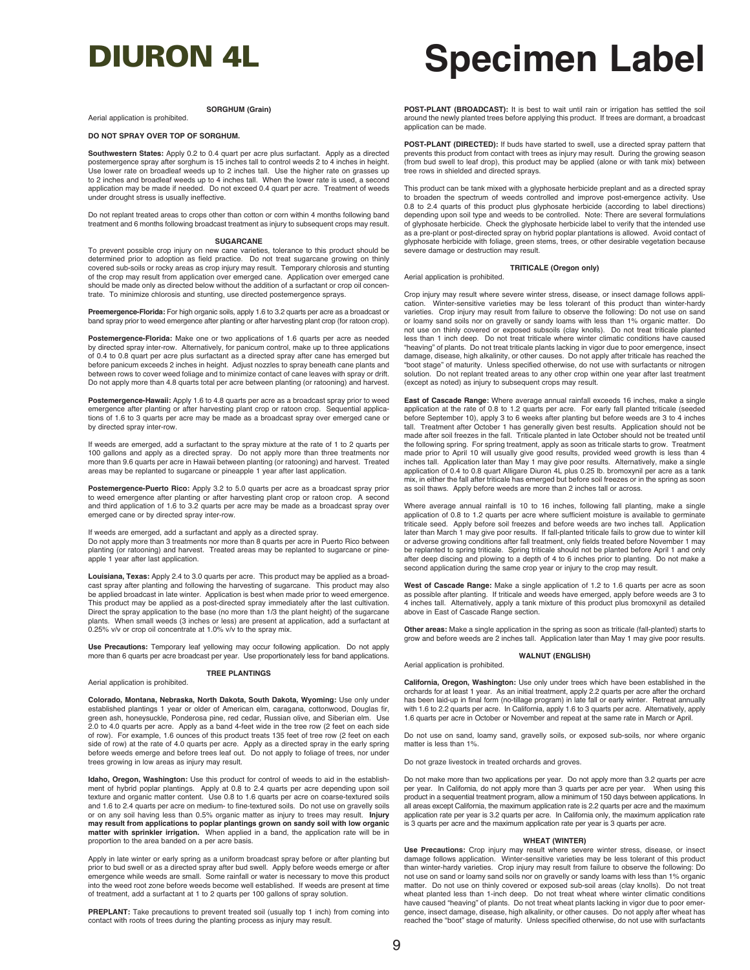#### **SORGHUM (Grain)**

Aerial application is prohibited.

#### **DO NOT SPRAY OVER TOP OF SORGHUM.**

**Southwestern States:** Apply 0.2 to 0.4 quart per acre plus surfactant. Apply as a directed postemergence spray after sorghum is 15 inches tall to control weeds 2 to 4 inches in height. Use lower rate on broadleaf weeds up to 2 inches tall. Use the higher rate on grasses up to 2 inches and broadleaf weeds up to 4 inches tall. When the lower rate is used, a second application may be made if needed. Do not exceed 0.4 quart per acre. Treatment of weeds under drought stress is usually ineffective.

Do not replant treated areas to crops other than cotton or corn within 4 months following band treatment and 6 months following broadcast treatment as injury to subsequent crops may result.

#### **SUGARCANE**

To prevent possible crop injury on new cane varieties, tolerance to this product should be determined prior to adoption as field practice. Do not treat sugarcane growing on thinly covered sub-soils or rocky areas as crop injury may result. Temporary chlorosis and stunting of the crop may result from application over emerged cane. Application over emerged cane should be made only as directed below without the addition of a surfactant or crop oil concentrate. To minimize chlorosis and stunting, use directed postemergence sprays.

**Preemergence-Florida:** For high organic soils, apply 1.6 to 3.2 quarts per acre as a broadcast or band spray prior to weed emergence after planting or after harvesting plant crop (for ratoon crop).

**Postemergence-Florida:** Make one or two applications of 1.6 quarts per acre as needed by directed spray inter-row. Alternatively, for panicum control, make up to three applications of 0.4 to 0.8 quart per acre plus surfactant as a directed spray after cane has emerged but before panicum exceeds 2 inches in height. Adjust nozzles to spray beneath cane plants and between rows to cover weed foliage and to minimize contact of cane leaves with spray or drift. Do not apply more than 4.8 quarts total per acre between planting (or ratooning) and harvest.

Postemergence-Hawaii: Apply 1.6 to 4.8 quarts per acre as a broadcast spray prior to weed emergence after planting or after harvesting plant crop or ratoon crop. Sequential applications of 1.6 to 3 quarts per acre may be made as a broadcast spray over emerged cane or by directed spray inter-row.

If weeds are emerged, add a surfactant to the spray mixture at the rate of 1 to 2 quarts per 100 gallons and apply as a directed spray. Do not apply more than three treatments nor more than 9.6 quarts per acre in Hawaii between planting (or ratooning) and harvest. Treated areas may be replanted to sugarcane or pineapple 1 year after last application.

**Postemergence-Puerto Rico:** Apply 3.2 to 5.0 quarts per acre as a broadcast spray prior to weed emergence after planting or after harvesting plant crop or ratoon crop. A set and third application of 1.6 to 3.2 quarts per acre may be made as a broadcast spray over emerged cane or by directed spray inter-row.

If weeds are emerged, add a surfactant and apply as a directed spray. Do not apply more than 3 treatments nor more than 8 quarts per acre in Puerto Rico between planting (or ratooning) and harvest. Treated areas may be replanted to sugarcane or pineapple 1 year after last application.

**Louisiana, Texas:** Apply 2.4 to 3.0 quarts per acre. This product may be applied as a broad-cast spray after planting and following the harvesting of sugarcane. This product may also be applied broadcast in late winter. Application is best when made prior to weed emergence. This product may be applied as a post-directed spray immediately after the last cultivation. Direct the spray application to the base (no more than 1/3 the plant height) of the sugarcane plants. When small weeds (3 inches or less) are present at application, add a surfactant at 0.25% v/v or crop oil concentrate at 1.0% v/v to the spray mix.

**Use Precautions:** Temporary leaf yellowing may occur following application. Do not apply more than 6 quarts per acre broadcast per year. Use proportionately less for band applications.

### **TREE PLANTINGS**

Aerial application is prohibited.

**Colorado, Montana, Nebraska, North Dakota, South Dakota, Wyoming:** Use only under established plantings 1 year or older of American elm, caragana, cottonwood, Douglas fir, green ash, honeysuckle, Ponderosa pine, red cedar, Russian olive, and Siberian elm. Use 2.0 to 4.0 quarts per acre. Apply as a band 4-feet wide in the tree row (2 feet on each side of row). For example, 1.6 ounces of this product treats 135 feet of tree row (2 feet on each side of row) at the rate of 4.0 quarts per acre. Apply as a directed spray in the early spring before weeds emerge and before trees leaf out. Do not apply to foliage of trees, nor under trees growing in low areas as injury may result.

**Idaho, Oregon, Washington:** Use this product for control of weeds to aid in the establishment of hybrid poplar plantings. Apply at 0.8 to 2.4 quarts per acre depending upon soil texture and organic matter content. Use 0.8 to 1.6 quarts per acre on coarse-textured soils and 1.6 to 2.4 quarts per acre on medium- to fine-textured soils. Do not use on gravelly soils or on any soil having less than 0.5% organic matter as injury to trees may result. **Injury may result from applications to poplar plantings grown on sandy soil with low organic matter with sprinkler irrigation.** When applied in a band, the application rate will be in proportion to the area banded on a per acre basis.

Apply in late winter or early spring as a uniform broadcast spray before or after planting but prior to bud swell or as a directed spray after bud swell. Apply before weeds emerge or after emergence while weeds are small. Some rainfall or water is necessary to move this product into the weed root zone before weeds become well established. If weeds are present at time of treatment, add a surfactant at 1 to 2 quarts per 100 gallons of spray solution.

PREPLANT: Take precautions to prevent treated soil (usually top 1 inch) from coming into contact with roots of trees during the planting process as injury may result.

## DIURON 4L **Specimen Label**

**POST-PLANT (BROADCAST):** It is best to wait until rain or irrigation has settled the soil around the newly planted trees before applying this product. If trees are dormant, a broadcast application can be made.

**POST-PLANT (DIRECTED):** If buds have started to swell, use a directed spray pattern that prevents this product from contact with trees as injury may result. During the growing season (from bud swell to leaf drop), this product may be applied (alone or with tank mix) between tree rows in shielded and directed sprays.

This product can be tank mixed with a glyphosate herbicide preplant and as a directed spray to broaden the spectrum of weeds controlled and improve post-emergence activity. Use 0.8 to 2.4 quarts of this product plus glyphosate herbicide (according to label directions) depending upon soil type and weeds to be controlled. Note: There are several formulations of glyphosate herbicide. Check the glyphosate herbicide label to verify that the intended use as a pre-plant or post-directed spray on hybrid poplar plantations is allowed. Avoid contact of glyphosate herbicide with foliage, green stems, trees, or other desirable vegetation because severe damage or destruction may result.

#### **TRITICALE (Oregon only)** Aerial application is prohibited.

Crop injury may result where severe winter stress, disease, or insect damage follows application. Winter-sensitive varieties may be less tolerant of this product than winter-hardy varieties. Crop injury may result from failure to observe the following: Do not use on sand or loamy sand soils nor on gravelly or sandy loams with less than 1% organic matter. Do not use on thinly covered or exposed subsoils (clay knolls). Do not treat triticale planted less than 1 inch deep. Do not treat triticale where winter climatic conditions have caused "heaving" of plants. Do not treat triticale plants lacking in vigor due to poor emergence, insect damage, disease, high alkalinity, or other causes. Do not apply after triticale has reached the "boot stage" of maturity. Unless specified otherwise, do not use with surfactants or nitrogen solution. Do not replant treated areas to any other crop within one year after last treatment (except as noted) as injury to subsequent crops may result.

**East of Cascade Range:** Where average annual rainfall exceeds 16 inches, make a single application at the rate of 0.8 to 1.2 quarts per acre. For early fall planted triticale (seeded before September 10), apply 3 to 6 weeks after planting but before weeds are 3 to 4 inches tall. Treatment after October 1 has generally given best results. Application should not be made after soil freezes in the fall. Triticale planted in late October should not be treated until the following spring. For spring treatment, apply as soon as triticale starts to grow. Treatment made prior to April 10 will usually give good results, provided weed growth is less than 4 inches tall. Application later than May 1 may give poor results. Alternatively, make a single application of 0.4 to 0.8 quart Alligare Diuron 4L plus 0.25 lb. bromoxynil per acre as a tank mix, in either the fall after triticale has emerged but before soil freezes or in the spring as soon as soil thaws. Apply before weeds are more than 2 inches tall or across.

Where average annual rainfall is 10 to 16 inches, following fall planting, make a single application of 0.8 to 1.2 quarts per acre where sufficient moisture is available to germinate triticale seed. Apply before soil freezes and before weeds are two inches tall. Application later than March 1 may give poor results. If fall-planted triticale fails to grow due to winter kill<br>or adverse growing conditions after fall treatment, only fields treated before November 1 may be replanted to spring triticale. Spring triticale should not be planted before April 1 and only after deep discing and plowing to a depth of 4 to 6 inches prior to planting. Do not make a second application during the same crop year or injury to the crop may result.

**West of Cascade Range:** Make a single application of 1.2 to 1.6 quarts per acre as soon as possible after planting. If triticale and weeds have emerged, apply before weeds are 3 to 4 inches tall. Alternatively, apply a tank mixture of this product plus bromoxynil as detailed above in East of Cascade Range section.

**Other areas:** Make a single application in the spring as soon as triticale (fall-planted) starts to grow and before weeds are 2 inches tall. Application later than May 1 may give poor results.

Aerial application is prohibited.

## **WALNUT (ENGLISH)**

**California, Oregon, Washington:** Use only under trees which have been established in the orchards for at least 1 year. As an initial treatment, apply 2.2 quarts per acre after the orchard has been laid-up in final form (no-tillage program) in late fall or early winter. Retreat annually with 1.6 to 2.2 quarts per acre. In California, apply 1.6 to 3 quarts per acre. Alternatively, apply 1.6 quarts per acre in October or November and repeat at the same rate in March or April.

Do not use on sand, loamy sand, gravelly soils, or exposed sub-soils, nor where organic matter is less than 1%.

Do not graze livestock in treated orchards and groves.

Do not make more than two applications per year. Do not apply more than 3.2 quarts per acre per year. In California, do not apply more than 3 quarts per acre per year. When using this product in a sequential treatment program, allow a minimum of 150 days between applications. In all areas except California, the maximum application rate is 2.2 quarts per acre and the maximum application rate per year is 3.2 quarts per acre. In California only, the maximum application rate is 3 quarts per acre and the maximum application rate per year is 3 quarts per acre.

#### **WHEAT (WINTER)**

**Use Precautions:** Crop injury may result where severe winter stress, disease, or insect damage follows application. Winter-sensitive varieties may be less tolerant of this product than winter-hardy varieties. Crop injury may result from failure to observe the following: Do not use on sand or loamy sand soils nor on gravelly or sandy loams with less than 1% organic matter. Do not use on thinly covered or exposed sub-soil areas (clay knolls). Do not treat wheat planted less than 1-inch deep. Do not treat wheat where winter climatic conditions have caused "heaving" of plants. Do not treat wheat plants lacking in vigor due to poor emergence, insect damage, disease, high alkalinity, or other causes. Do not apply after wheat has reached the "boot" stage of maturity. Unless specified otherwise, do not use with surfactants